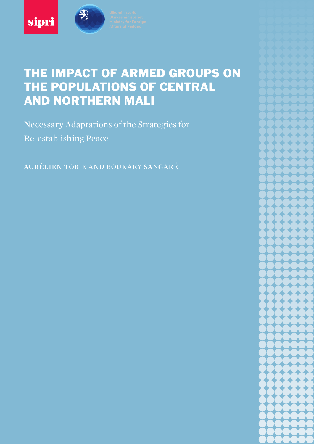



# THE IMPACT OF ARMED GROUPS ON THE POPULATIONS OF CENTRAL AND NORTHERN MALI

Necessary Adaptations of the Strategies for Re-establishing Peace

aurélien tobie and boukary sangaré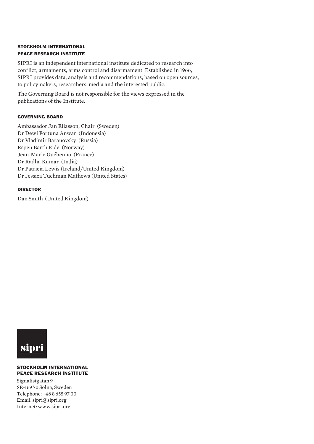#### STOCKHOLM INTERNATIONAL PEACE RESEARCH INSTITUTE

SIPRI is an independent international institute dedicated to research into conflict, armaments, arms control and disarmament. Established in 1966, SIPRI provides data, analysis and recommendations, based on open sources, to policymakers, researchers, media and the interested public.

The Governing Board is not responsible for the views expressed in the publications of the Institute.

#### GOVERNING BOARD

Ambassador Jan Eliasson, Chair (Sweden) Dr Dewi Fortuna Anwar (Indonesia) Dr Vladimir Baranovsky (Russia) Espen Barth Eide (Norway) Jean-Marie Guéhenno (France) Dr Radha Kumar (India) Dr Patricia Lewis (Ireland/United Kingdom) Dr Jessica Tuchman Mathews (United States)

#### DIRECTOR

Dan Smith (United Kingdom)



#### **STOCKHOLM INTERNATIONAL PEACE RESEARCH INSTITUTE**

Signalistgatan 9 SE-169 70 Solna, Sweden Telephone: +46 8 655 97 00 Email: sipri@sipri.org Internet: www.sipri.org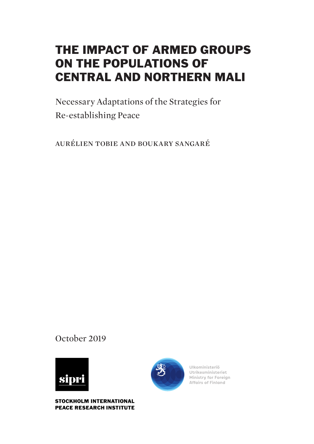# THE IMPACT OF ARMED GROUPS ON THE POPULATIONS OF CENTRAL AND NORTHERN MALI

Necessary Adaptations of the Strategies for Re-establishing Peace

aurélien tobie and boukary sangaré

October 2019



**STOCKHOLM INTERNATIONAL PEACE RESEARCH INSTITUTE** 



Ulkoministeriö Utrikesministeriet Ministry for Foreign **Affairs of Finland**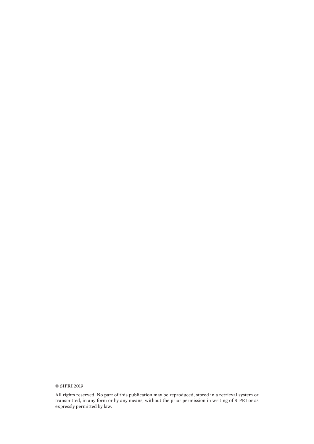© SIPRI 2019

All rights reserved. No part of this publication may be reproduced, stored in a retrieval system or transmitted, in any form or by any means, without the prior permission in writing of SIPRI or as expressly permitted by law.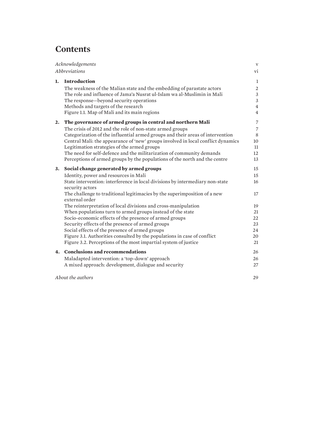# **Contents**

| Acknowledgements |                                                                                                  | $\mathbf{V}$   |
|------------------|--------------------------------------------------------------------------------------------------|----------------|
| Abbreviations    |                                                                                                  | vi             |
| 1.               | <b>Introduction</b>                                                                              | 1              |
|                  | The weakness of the Malian state and the embedding of parastate actors                           | 2              |
|                  | The role and influence of Jama'a Nusrat ul-Islam wa al-Muslimin in Mali                          | $\mathfrak{Z}$ |
|                  | The response-beyond security operations                                                          | $\mathfrak{Z}$ |
|                  | Methods and targets of the research                                                              | $\overline{4}$ |
|                  | Figure 1.1. Map of Mali and its main regions                                                     | $\overline{4}$ |
| 2.               | The governance of armed groups in central and northern Mali                                      | $\overline{7}$ |
|                  | The crisis of 2012 and the role of non-state armed groups                                        | $\overline{7}$ |
|                  | Categorization of the influential armed groups and their areas of intervention                   | 8              |
|                  | Central Mali: the appearance of 'new' groups involved in local conflict dynamics                 | 10             |
|                  | Legitimation strategies of the armed groups                                                      | 11             |
|                  | The need for self-defence and the militarization of community demands                            | 12             |
|                  | Perceptions of armed groups by the populations of the north and the centre                       | 13             |
| 3.               | Social change generated by armed groups                                                          | 15             |
|                  | Identity, power and resources in Mali                                                            | 15             |
|                  | State intervention: interference in local divisions by intermediary non-state<br>security actors | 16             |
|                  | The challenge to traditional legitimacies by the superimposition of a new<br>external order      | 17             |
|                  | The reinterpretation of local divisions and cross-manipulation                                   | 19             |
|                  | When populations turn to armed groups instead of the state                                       | 21             |
|                  | Socio-economic effects of the presence of armed groups                                           | 22             |
|                  | Security effects of the presence of armed groups                                                 | 23             |
|                  | Social effects of the presence of armed groups                                                   | 24             |
|                  | Figure 3.1. Authorities consulted by the populations in case of conflict                         | 20             |
|                  | Figure 3.2. Perceptions of the most impartial system of justice                                  | 21             |
| 4.               | <b>Conclusions and recommendations</b>                                                           | 26             |
|                  | Maladapted intervention: a 'top-down' approach                                                   | 26             |
|                  | A mixed approach: development, dialogue and security                                             | 27             |
|                  | About the authors                                                                                | 29             |
|                  |                                                                                                  |                |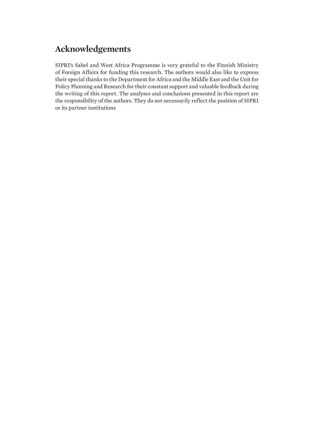# <span id="page-6-0"></span>**Acknowledgements**

SIPRI's Sahel and West Africa Programme is very grateful to the Finnish Ministry of Foreign Affairs for funding this research. The authors would also like to express their special thanks to the Department for Africa and the Middle East and the Unit for Policy Planning and Research for their constant support and valuable feedback during the writing of this report. The analyses and conclusions presented in this report are the responsibility of the authors. They do not necessarily reflect the position of SIPRI or its partner institutions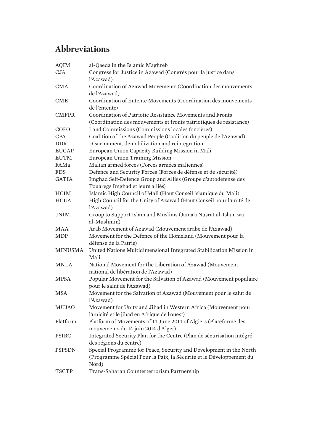# <span id="page-7-0"></span>**Abbreviations**

| <b>AQIM</b>    | al-Qaeda in the Islamic Maghreb                                                      |
|----------------|--------------------------------------------------------------------------------------|
| <b>CJA</b>     | Congress for Justice in Azawad (Congrès pour la justice dans                         |
|                | l'Azawad)                                                                            |
| <b>CMA</b>     | Coordination of Azawad Movements (Coordination des mouvements                        |
|                | de l'Azawad)                                                                         |
| <b>CME</b>     | Coordination of Entente Movements (Coordination des mouvements                       |
|                | de l'entente)                                                                        |
| <b>CMFPR</b>   | Coordination of Patriotic Resistance Movements and Fronts                            |
|                | (Coordination des mouvements et fronts patriotiques de résistance)                   |
| COFO           | Land Commissions (Commissions locales foncières)                                     |
| <b>CPA</b>     | Coalition of the Azawad People (Coalition du peuple de l'Azawad)                     |
| <b>DDR</b>     | Disarmament, demobilization and reintegration                                        |
| <b>EUCAP</b>   | European Union Capacity Building Mission in Mali                                     |
| <b>EUTM</b>    | <b>European Union Training Mission</b>                                               |
| FAMa           | Malian armed forces (Forces armées maliennes)                                        |
| <b>FDS</b>     | Defence and Security Forces (Forces de défense et de sécurité)                       |
| <b>GATIA</b>   | Imghad Self-Defence Group and Allies (Groupe d'autodéfense des                       |
|                | Touaregs Imghad et leurs alliés)                                                     |
| <b>HCIM</b>    | Islamic High Council of Mali (Haut Conseil islamique du Mali)                        |
| <b>HCUA</b>    | High Council for the Unity of Azawad (Haut Conseil pour l'unité de                   |
|                | l'Azawad)                                                                            |
| <b>JNIM</b>    | Group to Support Islam and Muslims (Jama'a Nusrat ul-Islam wa                        |
|                | al-Muslimin)                                                                         |
| <b>MAA</b>     | Arab Movement of Azawad (Mouvement arabe de l'Azawad)                                |
| <b>MDP</b>     | Movement for the Defence of the Homeland (Mouvement pour la<br>défense de la Patrie) |
| <b>MINUSMA</b> | United Nations Multidimensional Integrated Stabilization Mission in                  |
|                | Mali                                                                                 |
| <b>MNLA</b>    | National Movement for the Liberation of Azawad (Mouvement                            |
|                | national de libération de l'Azawad)                                                  |
| <b>MPSA</b>    | Popular Movement for the Salvation of Azawad (Mouvement populaire                    |
|                | pour le salut de l'Azawad)                                                           |
| <b>MSA</b>     | Movement for the Salvation of Azawad (Mouvement pour le salut de                     |
|                | l'Azawad)                                                                            |
| <b>MUJAO</b>   | Movement for Unity and Jihad in Western Africa (Mouvement pour                       |
|                | l'unicité et le jihad en Afrique de l'ouest)                                         |
| Platform       | Platform of Movements of 14 June 2014 of Algiers (Plateforme des                     |
|                | mouvements du 14 juin 2014 d'Alger)                                                  |
| PSIRC          | Integrated Security Plan for the Centre (Plan de sécurisation intégré                |
|                | des régions du centre)                                                               |
| <b>PSPSDN</b>  | Special Programme for Peace, Security and Development in the North                   |
|                | (Programme Spécial Pour la Paix, la Sécurité et le Développement du                  |
|                | Nord)                                                                                |
| <b>TSCTP</b>   | Trans-Saharan Counterterrorism Partnership                                           |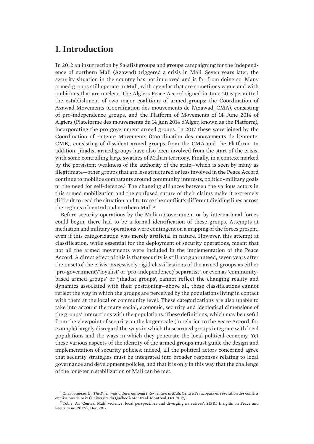# <span id="page-8-0"></span>**1. Introduction**

In 2012 an insurrection by Salafist groups and groups campaigning for the independence of northern Mali (Azawad) triggered a crisis in Mali. Seven years later, the security situation in the country has not improved and is far from doing so. Many armed groups still operate in Mali, with agendas that are sometimes vague and with ambitions that are unclear. The Algiers Peace Accord signed in June 2015 permitted the establishment of two major coalitions of armed groups: the Coordination of Azawad Movements (Coordination des mouvements de l'Azawad, CMA), consisting of pro-independence groups, and the Platform of Movements of 14 June 2014 of Algiers (Plateforme des mouvements du 14 juin 2014 d'Alger, known as the Platform), incorporating the pro-government armed groups. In 2017 these were joined by the Coordination of Entente Movements (Coordination des mouvements de l'entente, CME), consisting of dissident armed groups from the CMA and the Platform. In addition, jihadist armed groups have also been involved from the start of the crisis, with some controlling large swathes of Malian territory. Finally, in a context marked by the persistent weakness of the authority of the state—which is seen by many as illegitimate—other groups that are less structured or less involved in the Peace Accord continue to mobilize combatants around community interests, politico–military goals or the need for self-defence.<sup>1</sup> The changing alliances between the various actors in this armed mobilization and the confused nature of their claims make it extremely difficult to read the situation and to trace the conflict's different dividing lines across the regions of central and northern Mali.<sup>2</sup>

Before security operations by the Malian Government or by international forces could begin, there had to be a formal identification of these groups. Attempts at mediation and military operations were contingent on a mapping of the forces present, even if this categorization was merely artificial in nature. However, this attempt at classification, while essential for the deployment of security operations, meant that not all the armed movements were included in the implementation of the Peace Accord. A direct effect of this is that security is still not guaranteed, seven years after the onset of the crisis. Excessively rigid classifications of the armed groups as either 'pro-government'/'loyalist' or 'pro-independence'/'separatist', or even as 'communitybased armed groups' or 'jihadist groups', cannot reflect the changing reality and dynamics associated with their positioning—above all, these classifications cannot reflect the way in which the groups are perceived by the populations living in contact with them at the local or community level. These categorizations are also unable to take into account the many social, economic, security and ideological dimensions of the groups' interactions with the populations. These definitions, which may be useful from the viewpoint of security on the larger scale (in relation to the Peace Accord, for example) largely disregard the ways in which these armed groups integrate with local populations and the ways in which they penetrate the local political economy. Yet these various aspects of the identity of the armed groups must guide the design and implementation of security policies: indeed, all the political actors concerned agree that security strategies must be integrated into broader responses relating to local governance and development policies, and that it is only in this way that the challenge of the long-term stabilization of Mali can be met.

<sup>1</sup> Charbonneau, B., *[The Dilemmas of International Intervention in Mali](https://www.academia.edu/35777988/The_Dilemmas_of_international_intervention_in_Mali)*, Centre Francopaix en résolution des conflits et missions de paix (Université du Québec à Montréal: Montreal, Oct. 2017).

<sup>2</sup> Tobie, A., ['Central Mali: violence, local perspectives and diverging narratives](https://www.sipri.org/sites/default/files/2018-02/sipriinsight_1713_mali_3_eng.pdf)', SIPRI Insights on Peace and Security no. 2017/5, Dec. 2017.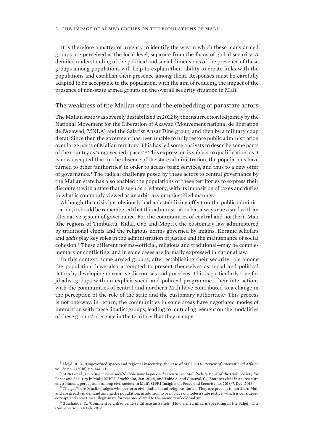<span id="page-9-0"></span>It is therefore a matter of urgency to identify the way in which these many armed groups are perceived at the local level, separate from the focus of global security. A detailed understanding of the political and social dimensions of the presence of these groups among populations will help to explain their ability to create links with the populations and establish their presence among them. Responses must be carefully adapted to be acceptable to the population, with the aim of reducing the impact of the presence of non-state armed groups on the overall security situation in Mali.

#### The weakness of the Malian state and the embedding of parastate actors

The Malian state was severely destabilized in 2012 by the insurrection led jointly by the National Movement for the Liberation of Azawad (Mouvement national de libération de l'Azawad, MNLA) and the Salafist Ansar Dine group, and then by a military coup d'état. Since then the goverment has been unable to fully restore public administration over large parts of Malian territory. This has led some analysts to describe some parts of the country as 'ungoverned spaces'.3 This expression is subject to qualification, as it is now accepted that, in the absence of the state administration, the populations have turned to other 'authorities' in order to access basic services, and thus to a new offer of governance.4 The radical challenge posed by these actors to central governance by the Malian state has also enabled the populations of these territories to express their discontent with a state that is seen as predatory, with its imposition of taxes and duties in what is commonly viewed as an arbitrary or unjustified manner.

Although the crisis has obviously had a destabilizing effect on the public administration, it should be remembered that this administration has always coexisted with an alternative system of governance. For the communities of central and northern Mali (the regions of Timbuktu, Kidal, Gao and Mopti), the customary law administered by traditional chiefs and the religious norms governed by imams, Koranic scholars and *qadis* play key roles in the administration of justice and the maintenance of social cohesion.5 These different norms—official, religious and traditional—may be complementary or conflicting, and in some cases are formally expressed in national law.

In this context, some armed groups, after establishing their security role among the population, have also attempted to present themselves as social and political actors by developing normative discourses and practices. This is particularly true for jihadist groups with an explicit social and political programme—their interactions with the communities of central and northern Mali have contributed to a change in the perception of the role of the state and the customary authorities.<sup>6</sup> This process is not one-way: in return, the communities in some areas have negotiated modes of interaction with these jihadist groups, leading to mutual agreement on the modalities of these groups' presence in the territory that they occupy.

<sup>3</sup> Lloyd, R. B., '[Ungoverned spaces and regional insecurity: the case of Mali'](https://muse.jhu.edu/article/625118), *SAIS Review of International Affairs*, vol. 36 no. 1 (2016), pp. 133–41.

<sup>4</sup> SIPRI et al., *[Livre Blanc de la société civile pour la paix et la sécurité au Mali](https://www.sipri.org/publications/2019/other-publications/white-book-civil-society-peace-and-security-mali)* [White Book of the Civil Society for Peace and Security in Mali] (SIPRI: Stockholm, Jan. 2019); and Tobie A. and Chauzal, G., ['State services in an insecure](https://www.sipri.org/sites/default/files/2018-12/sipriinsight1807.pdf) [environment, perceptions among civil society in Mali'](https://www.sipri.org/sites/default/files/2018-12/sipriinsight1807.pdf), SIPRI Insights on Peace and Security no. 2018/7, Dec. 2018.

<sup>5</sup> The *qadis* are Muslim judges who perform civil, judicial and religious duties. They are present in northern Mali and are greatly in demand among the population, in addition to or in place of modern state justice, which is considered corrupt and sometimes illegitimate for reasons related to the memory of colonialism.

<sup>6</sup> Guichaoua, Y., '[Comment le djihad armé se diffuse au Sahel?'](https://theconversation.com/comment-le-djihad-arme-se-diffuse-au-sahel-112244) [How armed jihad is spreading in the Sahel], The Conversation, 24 Feb. 2019.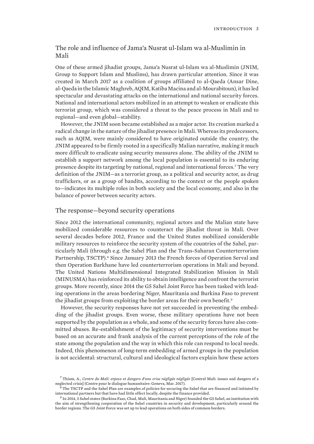### <span id="page-10-0"></span>The role and influence of Jama'a Nusrat ul-Islam wa al-Muslimin in Mali

One of these armed jihadist groups, Jama'a Nusrat ul-Islam wa al-Muslimin (JNIM, Group to Support Islam and Muslims), has drawn particular attention. Since it was created in March 2017 as a coalition of groups affiliated to al-Qaeda (Ansar Dine, al-Qaeda in the Islamic Maghreb, AQIM, Katiba Macina and al-Mourabitoun), it has led spectacular and devastating attacks on the international and national security forces. National and international actors mobilized in an attempt to weaken or eradicate this terrorist group, which was considered a threat to the peace process in Mali and to regional—and even global—stability.

However, the JNIM soon became established as a major actor. Its creation marked a radical change in the nature of the jihadist presence in Mali. Whereas its predecessors, such as AQIM, were mainly considered to have originated outside the country, the JNIM appeared to be firmly rooted in a specifically Malian narrative, making it much more difficult to eradicate using security measures alone. The ability of the JNIM to establish a support network among the local population is essential to its enduring presence despite its targeting by national, regional and international forces.7 The very definition of the JNIM—as a terrorist group, as a political and security actor, as drug traffickers, or as a group of bandits, according to the context or the people spoken to—indicates its multiple roles in both society and the local economy, and also in the balance of power between security actors.

#### The response—beyond security operations

Since 2012 the international community, regional actors and the Malian state have mobilized considerable resources to counteract the jihadist threat in Mali. Over several decades before 2012, France and the United States mobilized considerable military resources to reinforce the security system of the countries of the Sahel, particularly Mali (through e.g. the Sahel Plan and the Trans-Saharan Counterterrorism Partnership, TSCTP).<sup>8</sup> Since January 2013 the French forces of Operation Serval and then Operation Barkhane have led counterterrorism operations in Mali and beyond. The United Nations Multidimensional Integrated Stabilization Mission in Mali (MINUSMA) has reinforced its ability to obtain intelligence and confront the terrorist groups. More recently, since 2014 the G5 Sahel Joint Force has been tasked with leading operations in the areas bordering Niger, Mauritania and Burkina Faso to prevent the jihadist groups from exploiting the border areas for their own benefit.<sup>9</sup>

However, the security responses have not yet succeeded in preventing the embedding of the jihadist groups. Even worse, these military operations have not been supported by the population as a whole, and some of the security forces have also committed abuses. Re-establishment of the legitimacy of security interventions must be based on an accurate and frank analysis of the current perceptions of the role of the state among the population and the way in which this role can respond to local needs. Indeed, this phenomenon of long-term embedding of armed groups in the population is not accidental: structural, cultural and ideological factors explain how these actors

<sup>7</sup> Thiam, A., *[Centre du Mali: enjeux et dangers d'une crise négligée négligée](https://www.hdcentre.org/wp-content/uploads/2017/03/Centre-du-Mali-Enjeux-et-dangers-dune-crise-n%C3%A9glig%C3%A9e.pdf)* [Central Mali: issues and dangers of a neglected crisis] (Centre pour le dialogue humanitaire: Geneva, Mar. 2017).

<sup>8</sup> The TSCTP and the Sahel Plan are examples of policies for securing the Sahel that are financed and initiated by international partners but that have had little effect locally, despite the finance provided.

<sup>9</sup> In 2014, 5 Sahel states (Burkina Faso, Chad, Mali, Mauritania and Niger) founded the G5 Sahel, an institution with the aim of strengthening cooperation of the Sahel countries in security and development, particularly around the border regions. The G5 Joint Force was set up to lead operations on both sides of common borders.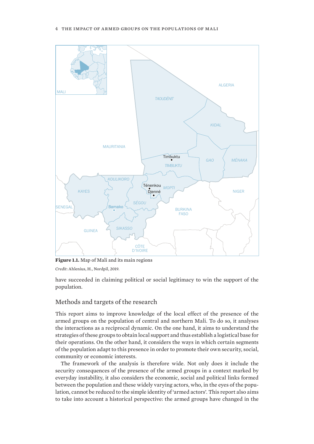<span id="page-11-0"></span>

**Figure 1.1.** Map of Mali and its main regions

*Credit*: Ahlenius, H., Nordpil, 2019.

have succeeded in claiming political or social legitimacy to win the support of the population.

### Methods and targets of the research

This report aims to improve knowledge of the local effect of the presence of the armed groups on the population of central and northern Mali. To do so, it analyses the interactions as a reciprocal dynamic. On the one hand, it aims to understand the strategies of these groups to obtain local support and thus establish a logistical base for their operations. On the other hand, it considers the ways in which certain segments of the population adapt to this presence in order to promote their own security, social, community or economic interests.

The framework of the analysis is therefore wide. Not only does it include the security consequences of the presence of the armed groups in a context marked by everyday instability, it also considers the economic, social and political links formed between the population and these widely varying actors, who, in the eyes of the population, cannot be reduced to the simple identity of 'armed actors'. This report also aims to take into account a historical perspective: the armed groups have changed in the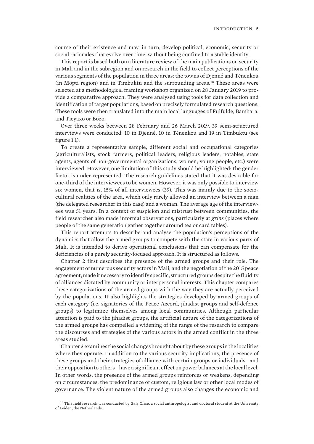course of their existence and may, in turn, develop political, economic, security or social rationales that evolve over time, without being confined to a stable identity.

This report is based both on a literature review of the main publications on security in Mali and in the subregion and on research in the field to collect perceptions of the various segments of the population in three areas: the towns of Djenné and Ténenkou (in Mopti region) and in Timbuktu and the surrounding areas.10 These areas were selected at a methodological framing workshop organized on 28 January 2019 to provide a comparative approach. They were analysed using tools for data collection and identification of target populations, based on precisely formulated research questions. These tools were then translated into the main local languages of Fulfulde, Bambara, and Tieyaxo or Bozo.

Over three weeks between 28 February and 26 March 2019, 39 semi-structured interviews were conducted: 10 in Djenné, 10 in Ténenkou and 19 in Timbuktu (see figure 1.1).

To create a representative sample, different social and occupational categories (agriculturalists, stock farmers, political leaders, religious leaders, notables, state agents, agents of non-governmental organizations, women, young people, etc.) were interviewed. However, one limitation of this study should be highlighted: the gender factor is under-represented. The research guidelines stated that it was desirable for one-third of the interviewees to be women. However, it was only possible to interview six women, that is, 15% of all interviewees (39). This was mainly due to the sociocultural realities of the area, which only rarely allowed an interview between a man (the delegated researcher in this case) and a woman. The average age of the interviewees was 51 years. In a context of suspicion and mistrust between communities, the field researcher also made informal observations, particularly at *grins* (places where people of the same generation gather together around tea or card tables).

This report attempts to describe and analyse the population's perceptions of the dynamics that allow the armed groups to compete with the state in various parts of Mali. It is intended to derive operational conclusions that can compensate for the deficiencies of a purely security-focused approach. It is structured as follows.

Chapter 2 first describes the presence of the armed groups and their role. The engagement of numerous security actors in Mali, and the negotiation of the 2015 peace agreement, made it necessary to identify specific, structured groups despite the fluidity of alliances dictated by community or interpersonal interests. This chapter compares these categorizations of the armed groups with the way they are actually perceived by the populations. It also highlights the strategies developed by armed groups of each category (i.e. signatories of the Peace Accord, jihadist groups and self-defence groups) to legitimize themselves among local communities. Although particular attention is paid to the jihadist groups, the artificial nature of the categorizations of the armed groups has compelled a widening of the range of the research to compare the discourses and strategies of the various actors in the armed conflict in the three areas studied.

Chapter 3 examines the social changes brought about by these groups in the localities where they operate. In addition to the various security implications, the presence of these groups and their strategies of alliance with certain groups or individuals—and their opposition to others—have a significant effect on power balances at the local level. In other words, the presence of the armed groups reinforces or weakens, depending on circumstances, the predominance of custom, religious law or other local modes of governance. The violent nature of the armed groups also changes the economic and

 $10$  This field research was conducted by Galy Cissé, a social anthropologist and doctoral student at the University of Leiden, the Netherlands.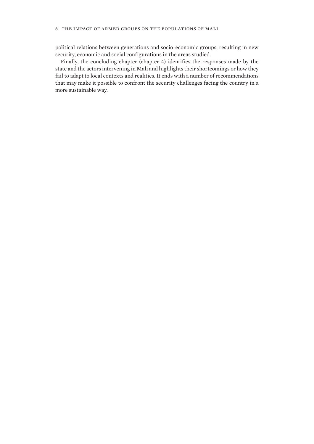#### 6 the impact of armed groups on the populations of mali

political relations between generations and socio-economic groups, resulting in new security, economic and social configurations in the areas studied.

Finally, the concluding chapter (chapter 4) identifies the responses made by the state and the actors intervening in Mali and highlights their shortcomings or how they fail to adapt to local contexts and realities. It ends with a number of recommendations that may make it possible to confront the security challenges facing the country in a more sustainable way.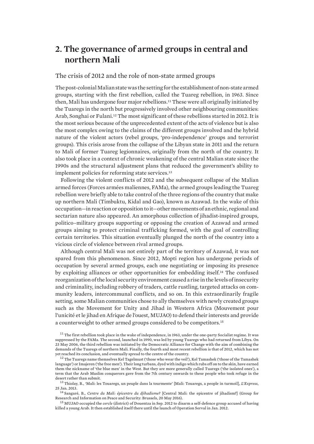# <span id="page-14-0"></span>**2. The governance of armed groups in central and northern Mali**

### The crisis of 2012 and the role of non-state armed groups

The post-colonial Malian state was the setting for the establishment of non-state armed groups, starting with the first rebellion, called the Tuareg rebellion, in 1963. Since then, Mali has undergone four major rebellions.11 These were all originally initiated by the Tuaregs in the north but progressively involved other neighbouring communities: Arab, Songhai or Fulani.12 The most significant of these rebellions started in 2012. It is the most serious because of the unprecedented extent of the acts of violence but is also the most complex owing to the claims of the different groups involved and the hybrid nature of the violent actors (rebel groups, 'pro-independence' groups and terrorist groups). This crisis arose from the collapse of the Libyan state in 2011 and the return to Mali of former Tuareg legionnaires, originally from the north of the country. It also took place in a context of chronic weakening of the central Malian state since the 1990s and the structural adjustment plans that reduced the government's ability to implement policies for reforming state services.<sup>13</sup>

Following the violent conflicts of 2012 and the subsequent collapse of the Malian armed forces (Forces armées maliennes, FAMa), the armed groups leading the Tuareg rebellion were briefly able to take control of the three regions of the country that make up northern Mali (Timbuktu, Kidal and Gao), known as Azawad. In the wake of this occupation—in reaction or opposition to it—other movements of an ethnic, regional and sectarian nature also appeared. An amorphous collection of jihadist-inspired groups, politico–military groups supporting or opposing the creation of Azawad and armed groups aiming to protect criminal trafficking formed, with the goal of controlling certain territories. This situation eventually plunged the north of the country into a vicious circle of violence between rival armed groups.

Although central Mali was not entirely part of the territory of Azawad, it was not spared from this phenomenon. Since 2012, Mopti region has undergone periods of occupation by several armed groups, each one negotiating or imposing its presence by exploiting alliances or other opportunities for embedding itself.14 The confused reorganization of the local security environment caused a rise in the levels of insecurity and criminality, including robbery of traders, cattle rustling, targeted attacks on community leaders, intercommunal conflicts, and so on. In this extraordinarily fragile setting, some Malian communities chose to ally themselves with newly created groups such as the Movement for Unity and Jihad in Western Africa (Mouvement pour l'unicité et le jihad en Afrique de l'ouest, MUJAO) to defend their interests and provide a counterweight to other armed groups considered to be competitors.<sup>15</sup>

<sup>13</sup> Thiolay, B., '[Mali: les Touaregs, un peuple dans la tourmente'](https://www.lexpress.fr/actualite/monde/afrique/mali-les-touaregs-un-peuple-dans-la-tourmente_1213530.html) [Mali: Touaregs, a people in turmoil], *L'Express*, 25 Jan. 2013.

<sup>14</sup> Sangaré, B., *[Centre du Mali: épicentre du djihadisme?](https://www.grip.org/en/node/2008)* [Central Mali: the epicentre of jihadism?] (Group for Research and Information on Peace and Security: Brussels, 20 May 2016).

<sup>15</sup> MUJAO occupied the *cercle* (district) of Douentza in Sep. 2012 to disarm a self-defence group accused of having killed a young Arab. It then established itself there until the launch of Operation Serval in Jan. 2012.

<sup>&</sup>lt;sup>11</sup> The first rebellion took place in the wake of independence, in 1963, under the one-party Socialist regime. It was suppressed by the FAMa. The second, launched in 1990, was led by young Tuaregs who had returned from Libya. On 23 May 2006, the third rebellion was initiated by the Democratic Alliance for Change with the aim of combining the demands of the Tuaregs of northern Mali. Finally, the fourth and most recent rebellion is that of 2012, which has not yet reached its conclusion, and eventually spread to the centre of the country.

<sup>&</sup>lt;sup>12</sup> The Tuaregs name themselves Kel Tagelmust ('those who wear the veil'), Kel Tamashek ('those of the Tamashek language') or Imajeren ('the free men'). Their long turbans, dyed with indigo which rubs off on to the skin, have earned them the nickname of 'the blue men' in the West. But they are more generally called Tuaregs ('the isolated ones'), a term that the Arab Muslim conquerors gave from the 7th century onwards to these people who took refuge in the desert rather than submit.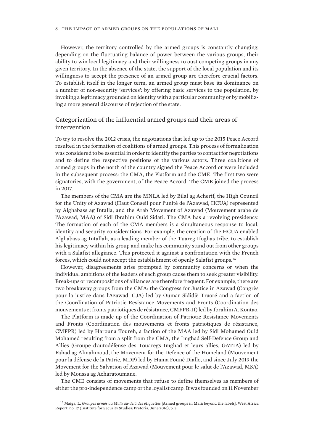<span id="page-15-0"></span>However, the territory controlled by the armed groups is constantly changing, depending on the fluctuating balance of power between the various groups, their ability to win local legitimacy and their willingness to oust competing groups in any given territory. In the absence of the state, the support of the local population and its willingness to accept the presence of an armed group are therefore crucial factors. To establish itself in the longer term, an armed group must base its dominance on a number of non-security 'services': by offering basic services to the population, by invoking a legitimacy grounded on identity with a particular community or by mobilizing a more general discourse of rejection of the state.

### Categorization of the influential armed groups and their areas of intervention

To try to resolve the 2012 crisis, the negotiations that led up to the 2015 Peace Accord resulted in the formation of coalitions of armed groups. This process of formalization was considered to be essential in order to identify the parties to contact for negotiations and to define the respective positions of the various actors. Three coalitions of armed groups in the north of the country signed the Peace Accord or were included in the subsequent process: the CMA, the Platform and the CME. The first two were signatories, with the government, of the Peace Accord. The CME joined the process in 2017.

The members of the CMA are the MNLA led by Bilal ag Acherif, the High Council for the Unity of Azawad (Haut Conseil pour l'unité de l'Azawad, HCUA) represented by Alghabass ag Intalla, and the Arab Movement of Azawad (Mouvement arabe de l'Azawad, MAA) of Sidi Ibrahim Ould Sidati. The CMA has a revolving presidency. The formation of each of the CMA members is a simultaneous response to local, identity and security considerations. For example, the creation of the HCUA enabled Alghabass ag Intallah, as a leading member of the Tuareg Ifoghas tribe, to establish his legitimacy within his group and make his community stand out from other groups with a Salafist allegiance. This protected it against a confrontation with the French forces, which could not accept the establishment of openly Salafist groups.<sup>16</sup>

However, disagreements arise prompted by community concerns or when the individual ambitions of the leaders of each group cause them to seek greater visibility. Break-ups or recompositions of alliances are therefore frequent. For example, there are two breakaway groups from the CMA: the Congress for Justice in Azawad (Congrès pour la justice dans l'Azawad, CJA) led by Oumar Sididjè Traoré and a faction of the Coordination of Patriotic Resistance Movements and Fronts (Coordination des mouvements et fronts patriotiques de résistance, CMFPR-II) led by Ibrahim A. Kontao.

The Platform is made up of the Coordination of Patriotic Resistance Movements and Fronts (Coordination des mouvements et fronts patriotiques de résistance, CMFPR) led by Harouna Toureh, a faction of the MAA led by Sidi Mohamed Ould Mohamed resulting from a split from the CMA, the Imghad Self-Defence Group and Allies (Groupe d'autodéfense des Touaregs Imghad et leurs allies, GATIA) led by Fahad ag Almahmoud, the Movement for the Defence of the Homeland (Mouvement pour la défense de la Patrie, MDP) led by Hama Founé Diallo, and since July 2019 the Movement for the Salvation of Azawad (Mouvement pour le salut de l'Azawad, MSA) led by Moussa ag Acharatoumane.

The CME consists of movements that refuse to define themselves as members of either the pro-independence camp or the loyalist camp. It was founded on 11 November

<sup>16</sup> Maïga, I., *[Groupes armés au Mali: au-delà des étiquettes](https://issafrica.s3.amazonaws.com/site/uploads/war17-fr.pdf)* [Armed groups in Mali: beyond the labels], West Africa Report, no. 17 (Institute for Security Studies: Pretoria, June 2016), p. 3.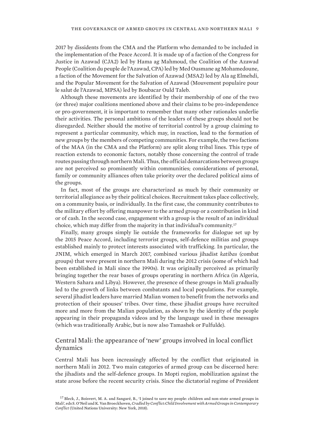2017 by dissidents from the CMA and the Platform who demanded to be included in the implementation of the Peace Accord. It is made up of a faction of the Congress for Justice in Azawad (CJA2) led by Hama ag Mahmoud, the Coalition of the Azawad People (Coalition du peuple de l'Azawad, CPA) led by Med Ousmane ag Mohamedoune, a faction of the Movement for the Salvation of Azawad (MSA2) led by Ala ag Elmehdi, and the Popular Movement for the Salvation of Azawad (Mouvement populaire pour le salut de l'Azawad, MPSA) led by Boubacar Ould Taleb.

Although these movements are identified by their membership of one of the two (or three) major coalitions mentioned above and their claims to be pro-independence or pro-government, it is important to remember that many other rationales underlie their activities. The personal ambitions of the leaders of these groups should not be disregarded. Neither should the motive of territorial control by a group claiming to represent a particular community, which may, in reaction, lead to the formation of new groups by the members of competing communities. For example, the two factions of the MAA (in the CMA and the Platform) are split along tribal lines. This type of reaction extends to economic factors, notably those concerning the control of trade routes passing through northern Mali. Thus, the official demarcations between groups are not perceived so prominently within communities; considerations of personal, family or community alliances often take priority over the declared political aims of the groups.

In fact, most of the groups are characterized as much by their community or territorial allegiance as by their political choices. Recruitment takes place collectively, on a community basis, or individually. In the first case, the community contributes to the military effort by offering manpower to the armed group or a contribution in kind or of cash. In the second case, engagement with a group is the result of an individual choice, which may differ from the majority in that individual's community.<sup>17</sup>

Finally, many groups simply lie outside the frameworks for dialogue set up by the 2015 Peace Accord, including terrorist groups, self-defence militias and groups established mainly to protect interests associated with trafficking. In particular, the JNIM, which emerged in March 2017, combined various jihadist *katibas* (combat groups) that were present in northern Mali during the 2012 crisis (some of which had been established in Mali since the 1990s). It was originally perceived as primarily bringing together the rear bases of groups operating in northern Africa (in Algeria, Western Sahara and Libya). However, the presence of these groups in Mali gradually led to the growth of links between combatants and local populations. For example, several jihadist leaders have married Malian women to benefit from the networks and protection of their spouses' tribes. Over time, these jihadist groups have recruited more and more from the Malian population, as shown by the identity of the people appearing in their propaganda videos and by the language used in these messages (which was traditionally Arabic, but is now also Tamashek or Fulfulde).

### Central Mali: the appearance of 'new' groups involved in local conflict dynamics

Central Mali has been increasingly affected by the conflict that originated in northern Mali in 2012. Two main categories of armed group can be discerned here: the jihadists and the self-defence groups. In Mopti region, mobilization against the state arose before the recent security crisis. Since the dictatorial regime of President

<sup>&</sup>lt;sup>17</sup> Bleck, J., Boisvert, M. A. and Sangaré, B., '[I joined to save my people: children and non-state armed groups in](https://collections.unu.edu/eserv/UNU:6409/Cradled_by_Conflict.pdf) [Mali'](https://collections.unu.edu/eserv/UNU:6409/Cradled_by_Conflict.pdf), eds S. O'Neil and K. Van Broeckhoven, *Cradled by Conflict:Child Involvement with Armed Groups in Contemporary Conflict* (United Nations University: New York, 2018).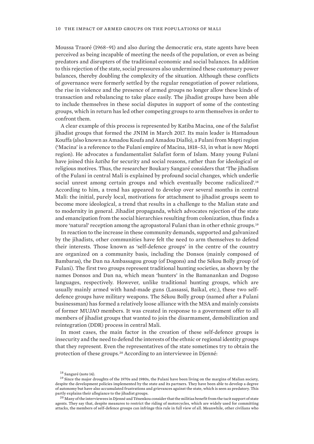<span id="page-17-0"></span>Moussa Traoré (1968–91) and also during the democratic era, state agents have been perceived as being incapable of meeting the needs of the population, or even as being predators and disrupters of the traditional economic and social balances. In addition to this rejection of the state, social pressures also undermined these customary power balances, thereby doubling the complexity of the situation. Although these conflicts of governance were formerly settled by the regular renegotiation of power relations, the rise in violence and the presence of armed groups no longer allow these kinds of transaction and rebalancing to take place easily. The jihadist groups have been able to include themselves in these social disputes in support of some of the contesting groups, which in return has led other competing groups to arm themselves in order to confront them.

A clear example of this process is represented by Katiba Macina, one of the Salafist jihadist groups that formed the JNIM in March 2017. Its main leader is Hamadoun Kouffa (also known as Amadou Koufa and Amadou Diallo), a Fulani from Mopti region ('Macina' is a reference to the Fulani empire of Macina, 1818–53, in what is now Mopti region). He advocates a fundamentalist Salafist form of Islam. Many young Fulani have joined this *katiba* for security and social reasons, rather than for ideological or religious motives. Thus, the researcher Boukary Sangaré considers that 'The jihadism of the Fulani in central Mali is explained by profound social changes, which underlie social unrest among certain groups and which eventually become radicalized'.<sup>18</sup> According to him, a trend has appeared to develop over several months in central Mali: the initial, purely local, motivations for attachment to jihadist groups seem to become more ideological, a trend that results in a challenge to the Malian state and to modernity in general. Jihadist propaganda, which advocates rejection of the state and emancipation from the social hierarchies resulting from colonization, thus finds a more 'natural' reception among the agropastoral Fulani than in other ethnic groups.<sup>19</sup>

In reaction to the increase in these community demands, supported and galvanized by the jihadists, other communities have felt the need to arm themselves to defend their interests. Those known as 'self-defence groups' in the centre of the country are organized on a community basis, including the Donsos (mainly composed of Bambaras), the Dan na Ambassagou group (of Dogons) and the Sékou Bolly group (of Fulani). The first two groups represent traditional hunting societies, as shown by the names Donsos and Dan na, which mean 'hunters' in the Bamanankan and Dogoso languages, respectively. However, unlike traditional hunting groups, which are usually mainly armed with hand-made guns (Lassassi, Baikal, etc.), these two selfdefence groups have military weapons. The Sékou Bolly group (named after a Fulani businessman) has formed a relatively loose alliance with the MSA and mainly consists of former MUJAO members. It was created in response to a government offer to all members of jihadist groups that wanted to join the disarmament, demobilization and reintegration (DDR) process in central Mali.

In most cases, the main factor in the creation of these self-defence groups is insecurity and the need to defend the interests of the ethnic or regional identity groups that they represent. Even the representatives of the state sometimes try to obtain the protection of these groups.20 According to an interviewee in Djenné:

<sup>18</sup> Sangaré (note 14).

<sup>&</sup>lt;sup>19</sup> Since the major droughts of the 1970s and 1980s, the Fulani have been living on the margins of Malian society, despite the development policies implemented by the state and its partners. They have been able to develop a degree of autonomy but have also accumulated frustrations and grievances against the state, which is seen as predatory. This partly explains their allegiance to the jihadist groups.

 $^{20}$  Many of the interviewees in Djenné and Ténenkou consider that the militias benefit from the tacit support of state agents. They say that, despite measures to restrict the riding of motorcycles, which are widely used for committing attacks, the members of self-defence groups can infringe this rule in full view of all. Meanwhile, other civilians who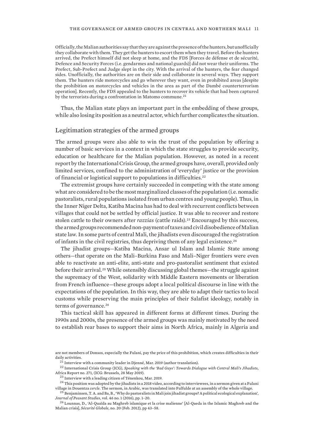<span id="page-18-0"></span>Officially, the Malian authorities say that they are against the presence of the hunters, but unofficially they collaborate with them. They get the hunters to escort them when they travel. Before the hunters arrived, the Prefect himself did not sleep at home, and the FDS [Forces de défense et de sécurité, Defence and Security Forces (i.e. gendarmes and national guards)] did not wear their uniforms. The Prefect, Sub-Prefect and Judge slept in the city. With the arrival of the hunters, the fear changed sides. Unofficially, the authorities are on their side and collaborate in several ways. They support them. The hunters ride motorcycles and go wherever they want, even in prohibited areas [despite the prohibition on motorcycles and vehicles in the area as part of the Dambé counterterrorism operation]. Recently, the FDS appealed to the hunters to recover its vehicle that had been captured by the terrorists during a confrontation in Matomo commune.<sup>21</sup>

Thus, the Malian state plays an important part in the embedding of these groups, while also losing its position as a neutral actor, which further complicates the situation.

#### Legitimation strategies of the armed groups

The armed groups were also able to win the trust of the population by offering a number of basic services in a context in which the state struggles to provide security, education or healthcare for the Malian population. However, as noted in a recent report by the International Crisis Group, the armed groups have, overall, provided only limited services, confined to the administration of 'everyday' justice or the provision of financial or logistical support to populations in difficulties.<sup>22</sup>

The extremist groups have certainly succeeded in competing with the state among what are considered to be the most marginalized classes of the population (i.e. nomadic pastoralists, rural populations isolated from urban centres and young people). Thus, in the Inner Niger Delta, Katiba Macina has had to deal with recurrent conflicts between villages that could not be settled by official justice. It was able to recover and restore stolen cattle to their owners after *razzias* (cattle raids).23 Encouraged by this success, the armed groups recommended non-payment of taxes and civil disobedience of Malian state law. In some parts of central Mali, the jihadists even discouraged the registration of infants in the civil registries, thus depriving them of any legal existence.<sup>24</sup>

The jihadist groups—Katiba Macina, Ansar ul Islam and Islamic State among others—that operate on the Mali–Burkina Faso and Mali–Niger frontiers were even able to reactivate an anti-elite, anti-state and pro-pastoralist sentiment that existed before their arrival.25 While ostensibly discussing global themes—the struggle against the supremacy of the West, solidarity with Middle Eastern movements or liberation from French influence—these groups adopt a local political discourse in line with the expectations of the population. In this way, they are able to adapt their tactics to local customs while preserving the main principles of their Salafist ideology, notably in terms of governance.<sup>26</sup>

This tactical skill has appeared in different forms at different times. During the 1990s and 2000s, the presence of the armed groups was mainly motivated by the need to establish rear bases to support their aims in North Africa, mainly in Algeria and

are not members of Donsos, especially the Fulani, pay the price of this prohibition, which creates difficulties in their daily activities.

 $^{21}$  Interview with a community leader in Djenné, Mar. 2019 (author translation).

<sup>22</sup> International Crisis Group (ICG), *[Speaking with the 'Bad Guys': Towards Dialogue with Central Mali's Jihadists](https://d2071andvip0wj.cloudfront.net/276-speaking-with-the-bad-guys_0.pdf)*, Africa Report no. 271, (ICG: Brussels, 28 May 2019).

<sup>23</sup> Interview with a leading citizen of Ténenkou, Mar. 2019.

 $^{24}$  This position was adopted by the jihadists in a 2018 video, according to interviewees, in a sermon given at a Fulani village in Douentza *cercle*. The sermon, in Arabic, was translated into Fulfulde at an assembly of the whole village.

<sup>25</sup> Benjaminsen, T. A. and Ba, B., '[Why do pastoralists in Mali join jihadist groups? A political ecological explanation](https://www.tandfonline.com/doi/full/10.1080/03066150.2018.1474457)', *Journal of Peasant Studies*, vol. 46 no. 1 (2016), pp. 1–20.

<sup>26</sup> Lounnas, D., '[Al-Quaïda au Maghreb islamique et la crise malienne](https://www.cairn.info/revue-securite-globale-2012-2-page-43.htm?contenu=article)' [Al-Qaeda in the Islamic Maghreb and the Malian crisis], *Sécurité Globale*, no. 20 (Feb. 2012), pp 43–58.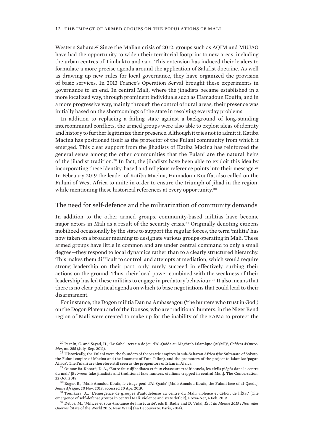<span id="page-19-0"></span>Western Sahara.27 Since the Malian crisis of 2012, groups such as AQIM and MUJAO have had the opportunity to widen their territorial footprint to new areas, including the urban centres of Timbuktu and Gao. This extension has induced their leaders to formulate a more precise agenda around the application of Salafist doctrine. As well as drawing up new rules for local governance, they have organized the provision of basic services. In 2013 France's Operation Serval brought these experiments in governance to an end. In central Mali, where the jihadists became established in a more localized way, through prominent individuals such as Hamadoun Kouffa, and in a more progressive way, mainly through the control of rural areas, their presence was initially based on the shortcomings of the state in resolving everyday problems.

In addition to replacing a failing state against a background of long-standing intercommunal conflicts, the armed groups were also able to exploit ideas of identity and history to further legitimize their presence. Although it tries not to admit it, Katiba Macina has positioned itself as the protector of the Fulani community from which it emerged. This clear support from the jihadists of Katiba Macina has reinforced the general sense among the other communities that the Fulani are the natural heirs of the jihadist tradition.28 In fact, the jihadists have been able to exploit this idea by incorporating these identity-based and religious reference points into their message.<sup>29</sup> In February 2019 the leader of Katiba Macina, Hamadoun Kouffa, also called on the Fulani of West Africa to unite in order to ensure the triumph of jihad in the region, while mentioning these historical references at every opportunity.<sup>30</sup>

#### The need for self-defence and the militarization of community demands

In addition to the other armed groups, community-based militias have become major actors in Mali as a result of the security crisis.31 Originally denoting citizens mobilized occasionally by the state to support the regular forces, the term 'militia' has now taken on a broader meaning to designate various groups operating in Mali. These armed groups have little in common and are under central command to only a small degree—they respond to local dynamics rather than to a clearly structured hierarchy. This makes them difficult to control, and attempts at mediation, which would require strong leadership on their part, only rarely succeed in effectively curbing their actions on the ground. Thus, their local power combined with the weakness of their leadership has led these militias to engage in predatory behaviour.32 It also means that there is no clear political agenda on which to base negotiations that could lead to their disarmament.

For instance, the Dogon militia Dan na Ambassagou ('the hunters who trust in God') on the Dogon Plateau and of the Donsos, who are traditional hunters, in the Niger Bend region of Mali were created to make up for the inability of the FAMa to protect the

<sup>27</sup> Pernin, C. and Sayad, H., '[Le Sahel: terrain de jeu d'Al-Qaïda au Maghreb Islamique \(AQMI\)'](https://journals.openedition.org/com/6346), *Cahiers d'Outre-Mer*, no. 255 (July–Sep. 2011).

 $^{28}$  Historically, the Fulani were the founders of theocratic empires in sub-Saharan Africa (the Sultanate of Sokoto, the Fulani empire of Macina and the Imamate of Futa Jallon), and the promoters of the project to Islamize 'pagan Africa'. The Fulani are therefore still seen as the progenitors of Islam in Africa.

<sup>&</sup>lt;sup>29</sup> Oumar Ba-Konaré, D. A., '[Entre faux djihadistes et faux chasseurs traditionnels, les civils piégés dans le centre](https://theconversation.com/entre-faux-djihadistes-et-faux-chasseurs-traditionnels-les-civils-pieges-dans-le-centre-du-mali-105181) [du mali](https://theconversation.com/entre-faux-djihadistes-et-faux-chasseurs-traditionnels-les-civils-pieges-dans-le-centre-du-mali-105181)' [Between fake jihadists and traditional fake hunters, civilians trapped in central Mali], The Conversation, 22 Oct. 2018.

<sup>30</sup> Roger, B., ['Mali: Amadou Koufa, le visage peul d'Al-Qaïda](https://www.jeuneafrique.com/mag/665565/politique/mali-amadou-koufa-le-visage-peul-dal-qaida/)' [Mali: Amadou Koufa, the Fulani face of al-Qaeda], *Jeune Afrique*, 20 Nov. 2018, accessed 20 Apr. 2019.

<sup>31</sup> Tounkara, A., '[L'émergence de groupes d'autodéfense au centre du Mali: violence et déficit de l'État](https://cdradical.hypotheses.org/1114)' [The emergence of self-defense groups in central Mali: violence and state deficit], Preva-Net, 4 Feb. 2019.

<sup>32</sup> Debos, M., 'Milices et sous-traitance de l'insécurité', eds B. Badie and D. Vidal, *État du Monde 2015 : Nouvelles Guerres* [State of the World 2015: New Wars] (La Découverte: Paris, 2014).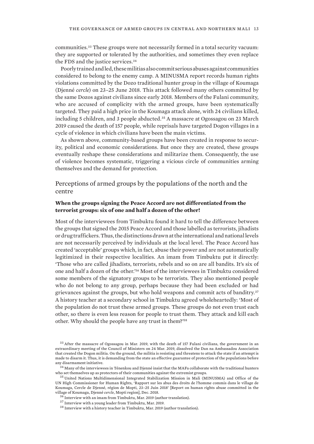<span id="page-20-0"></span>communities.33 These groups were not necessarily formed in a total security vacuum: they are supported or tolerated by the authorities, and sometimes they even replace the FDS and the justice services.<sup>34</sup>

Poorly trained and led, these militias also commit serious abuses against communities considered to belong to the enemy camp. A MINUSMA report records human rights violations committed by the Dozo traditional hunter group in the village of Koumaga (Djenné *cercle*) on 23–25 June 2018. This attack followed many others committed by the same Dozos against civilians since early 2018. Members of the Fulani community, who are accused of complicity with the armed groups, have been systematically targeted. They paid a high price in the Koumaga attack alone, with 24 civilians killed, including 5 children, and 3 people abducted.35 A massacre at Ogossagou on 23 March 2019 caused the death of 157 people, while reprisals have targeted Dogon villages in a cycle of violence in which civilians have been the main victims.

As shown above, community-based groups have been created in response to security, political and economic considerations. But once they are created, these groups eventually reshape these considerations and militarize them. Consequently, the use of violence becomes systematic, triggering a vicious circle of communities arming themselves and the demand for protection.

### Perceptions of armed groups by the populations of the north and the centre

#### **When the groups signing the Peace Accord are not differentiated from the terrorist groups: six of one and half a dozen of the other!**

Most of the interviewees from Timbuktu found it hard to tell the difference between the groups that signed the 2015 Peace Accord and those labelled as terrorists, jihadists or drug traffickers. Thus, the distinctions drawn at the international and national levels are not necessarily perceived by individuals at the local level. The Peace Accord has created 'acceptable' groups which, in fact, abuse their power and are not automatically legitimized in their respective localities. An imam from Timbuktu put it directly: 'Those who are called jihadists, terrorists, rebels and so on are all bandits. It's six of one and half a dozen of the other.'36 Most of the interviewees in Timbuktu considered some members of the signatory groups to be terrorists. They also mentioned people who do not belong to any group, perhaps because they had been excluded or had grievances against the groups, but who hold weapons and commit acts of banditry.<sup>37</sup> A history teacher at a secondary school in Timbuktu agreed wholeheartedly: 'Most of the population do not trust these armed groups. These groups do not even trust each other, so there is even less reason for people to trust them. They attack and kill each other. Why should the people have any trust in them?'<sup>38</sup>

<sup>33</sup> After the massacre of Ogossagou in Mar. 2019, with the death of 157 Fulani civilians, the government in an extraordinary meeting of the Council of Ministers on 24 Mar. 2019, dissolved the Dan na Ambassadou Association that created the Dogon militia. On the ground, the militia is resisting and threatens to attack the state if an attempt is made to disarm it. Thus, it is demanding from the state an effective guarantee of protection of the populations before any disarmament initiative.

 $34$  Many of the interviewees in Ténenkou and Djenné insist that the MAFa collaborate with the traditional hunters who set themselves up as protectors of their communities against the extremist groups.

<sup>35</sup> United Nations Multidimensional Integrated Stabilization Mission in Mali (MINUSMA) and Office of the UN High Commissioner for Human Rights, '[Rapport sur les abus des droits de l'homme commis dans le village de](https://minusma.unmissions.org/sites/default/files/mali_-_rapport_-_incident_de_koumaga_-_.pdf) [Koumaga, Cercle de Djenné, région de Mopti, 23–25 Juin 2018](https://minusma.unmissions.org/sites/default/files/mali_-_rapport_-_incident_de_koumaga_-_.pdf)' [Report on human rights abuse committed in the village of Koumaga, Djenné *cercle*, Mopti region], Dec. 2018.

<sup>36</sup> Interview with an imam from Timbuktu, Mar. 2019 (author translation).

<sup>37</sup> Interview with a young leader from Timbuktu, Mar. 2019.

<sup>38</sup> Interview with a history teacher in Timbuktu, Mar. 2019 (author translation).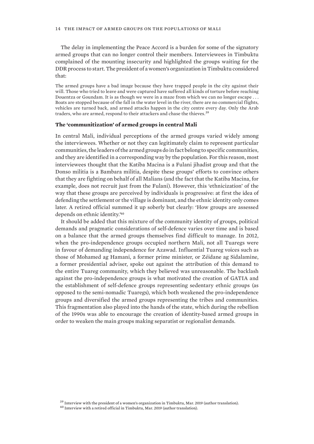The delay in implementing the Peace Accord is a burden for some of the signatory armed groups that can no longer control their members. Interviewees in Timbuktu complained of the mounting insecurity and highlighted the groups waiting for the DDR process to start. The president of a women's organization in Timbuktu considered that:

The armed groups have a bad image because they have trapped people in the city against their will. Those who tried to leave and were captured have suffered all kinds of torture before reaching Douentza or Goundam. It is as though we were in a maze from which we can no longer escape . . . Boats are stopped because of the fall in the water level in the river, there are no commercial flights, vehicles are turned back, and armed attacks happen in the city centre every day. Only the Arab traders, who are armed, respond to their attackers and chase the thieves.<sup>39</sup>

#### **The 'communitization' of armed groups in central Mali**

In central Mali, individual perceptions of the armed groups varied widely among the interviewees. Whether or not they can legitimately claim to represent particular communities, the leaders of the armed groups do in fact belong to specific communities, and they are identified in a corresponding way by the population. For this reason, most interviewees thought that the Katiba Macina is a Fulani jihadist group and that the Donso militia is a Bambara militia, despite these groups' efforts to convince others that they are fighting on behalf of all Malians (and the fact that the Katiba Macina, for example, does not recruit just from the Fulani). However, this 'ethnicization' of the way that these groups are perceived by individuals is progressive: at first the idea of defending the settlement or the village is dominant, and the ethnic identity only comes later. A retired official summed it up soberly but clearly: 'How groups are assessed depends on ethnic identity.'<sup>40</sup>

It should be added that this mixture of the community identity of groups, political demands and pragmatic considerations of self-defence varies over time and is based on a balance that the armed groups themselves find difficult to manage. In 2012, when the pro-independence groups occupied northern Mali, not all Tuaregs were in favour of demanding independence for Azawad. Influential Tuareg voices such as those of Mohamed ag Hamani, a former prime minister, or Zéidane ag Sidalamine, a former presidential adviser, spoke out against the attribution of this demand to the entire Tuareg community, which they believed was unreasonable. The backlash against the pro-independence groups is what motivated the creation of GATIA and the establishment of self-defence groups representing sedentary ethnic groups (as opposed to the semi-nomadic Tuaregs), which both weakened the pro-independence groups and diversified the armed groups representing the tribes and communities. This fragmentation also played into the hands of the state, which during the rebellion of the 1990s was able to encourage the creation of identity-based armed groups in order to weaken the main groups making separatist or regionalist demands.

<sup>&</sup>lt;sup>39</sup> Interview with the president of a women's organization in Timbuktu, Mar. 2019 (author translation).

<sup>40</sup> Interview with a retired official in Timbuktu, Mar. 2019 (author translation).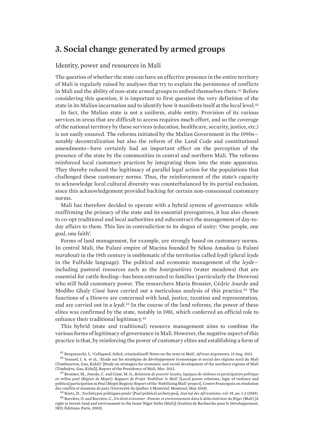# <span id="page-22-0"></span>**3. Social change generated by armed groups**

#### Identity, power and resources in Mali

The question of whether the state can have an effective presence in the entire territory of Mali is regularly raised by analyses that try to explain the persistence of conflicts in Mali and the ability of non-state armed groups to embed themselves there.41 Before considering this question, it is important to first question the very definition of the state in its Malian incarnation and to identify how it manifests itself at the local level.<sup>42</sup>

In fact, the Malian state is not a uniform, stable entity. Provision of its various services in areas that are difficult to access requires much effort, and so the coverage of the national territory by these services (education, healthcare, security, justice, etc.) is not easily ensured. The reforms initiated by the Malian Government in the 1990s notably decentralization but also the reform of the Land Code and constitutional amendments—have certainly had an important effect on the perception of the presence of the state by the communities in central and northern Mali. The reforms reinforced local customary practices by integrating them into the state apparatus. They thereby reduced the legitimacy of parallel legal action for the populations that challenged these customary norms. Thus, the reinforcement of the state's capacity to acknowledge local cultural diversity was counterbalanced by its partial exclusion, since this acknowledgement provided backing for certain non-consensual customary norms.

Mali has therefore decided to operate with a hybrid system of governance: while reaffirming the primacy of the state and its essential prerogatives, it has also chosen to co-opt traditional and local authorities and subcontract the management of day-today affairs to them. This lies in contradiction to its slogan of unity: 'One people, one goal, one faith'.

Forms of land management, for example, are strongly based on customary norms. In central Mali, the Fulani empire of Macina founded by Sékou Amadou (a Fulani *marabout*) in the 19th century is emblematic of the territories called *leydi* (plural *leyde* in the Fulfulde language). The political and economic management of the *leyde* including pastoral resources such as the *bourgoutières* (water meadows) that are essential for cattle feeding—has been entrusted to families (particularly the Diowros) who still hold customary power. The researchers Maria Brossier, Cédric Jourde and Modibo Ghaly Cissé have carried out a meticulous analysis of this practice.<sup>43</sup> The functions of a Diowro are concerned with land, justice, taxation and representation, and are carried out in a *leydi*. <sup>44</sup> In the course of the land reforms, the power of these elites was confirmed by the state, notably in 1981, which conferred an official role to enhance their traditional legitimacy.<sup>45</sup>

This hybrid (state and traditional) resource management aims to combine the various forms of legitimacy of governance in Mali. However, the negative aspect of this practice is that, by reinforcing the power of customary elites and establishing a form of

<sup>41</sup> Berganaschi, I., '[Collapsed, failed, criminalized? Notes on the state in Mali'](https://africanarguments.org/2013/08/15/collapsed-failed-criminalized-notes-on-the-state-in-mali-by-isaline-bergamaschi/ ), *African Arguments*, 15 Aug. 2013.

<sup>&</sup>lt;sup>42</sup> Youssef, I. A. et al., 'Etude sur les stratégies de développement économique et social des régions nord du Mali (Tombouctou, Gao, Kidal)' [Study on strategies for economic and social development of the northern regions of Mali (Timbuktu, Gao, Kidal)], Report of the Presidency of Mali, Mar. 2012.

<sup>43</sup> Brossier, M., Jourde, C. and Cissé, M. G., *[Relations de pouvoir locales, logiques de violence et participation politique](https://dandurand.uqam.ca/wp-content/uploads/2018/05/2018_05_Rapport-Brossier-et-al_CFP.pdf) [en milieu peul \(Région de Mopti\): Rapport de Projet 'Stabiliser le Mali'](https://dandurand.uqam.ca/wp-content/uploads/2018/05/2018_05_Rapport-Brossier-et-al_CFP.pdf)* [Local power relations, logic of violence and political participation in Peul (Mopti Region): Report of the 'Stabilizing Mali' project], Centre Francopaix en résolution des conflits et missions de paix (Université du Québec à Montréal: Montreal, May 2018).

<sup>44</sup> Kintz, D., ['Archétypes politiques peuls](https://www.persee.fr/doc/jafr_0399-0346_1985_num_55_1_2089)' [Puel political archetypes], *Journal des Africanistes*, vol. 55, no. 1-2 (1985).

<sup>45</sup> Barrière, O. and Barrière, C., *[Un droit à inventer : Foncier et environnement dans le delta intérieur du Niger \(Mali\)](http://horizon.documentation.ird.fr/exl-doc/pleins_textes/divers09-03/010029132.pdf)*[A right to invent: land and environment in the Inner Niger Delta (Mali)] (Institut de Recherche pour le Développement, IRD, Éditions: Paris, 2002).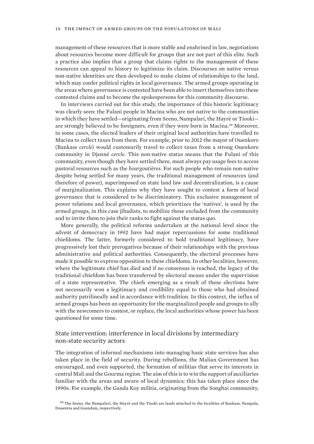<span id="page-23-0"></span>management of these resources that is more stable and enshrined in law, negotiations about resources become more difficult for groups that are not part of this elite. Such a practice also implies that a group that claims rights to the management of these resources can appeal to history to legitimize its claim. Discourses on native versus non-native identities are then developed to make claims of relationships to the land, which may confer political rights in local governance. The armed groups operating in the areas where governance is contested have been able to insert themselves into these contested claims and to become the spokespersons for this community discourse.

In interviews carried out for this study, the importance of this historic legitimacy was clearly seen: the Fulani people in Macina who are not native to the communities in which they have settled—originating from Seeno, Nampalari, the Hayré or Tiooki are strongly believed to be foreigners, even if they were born in Macina.<sup>46</sup> Moreover, in some cases, the elected leaders of their original local authorities have travelled to Macina to collect taxes from them. For example, prior to 2012 the mayor of Ouenkoro (Bankass *cercle*) would customarily travel to collect taxes from a strong Ouenkoro community in Djenné *cercle*. This non-native status means that the Fulani of this community, even though they have settled there, must always pay usage fees to access pastoral resources such as the *bourgoutières*. For such people who remain non-native despite being settled for many years, the traditional management of resources (and therefore of power), superimposed on state land law and decentralization, is a cause of marginalization. This explains why they have sought to contest a form of local governance that is considered to be discriminatory. This exclusive management of power relations and local governance, which prioritizes the 'natives', is used by the armed groups, in this case jihadists, to mobilize those excluded from the community and to invite them to join their ranks to fight against the status quo.

More generally, the political reforms undertaken at the national level since the advent of democracy in 1992 have had major repercussions for some traditional chiefdoms. The latter, formerly considered to hold traditional legitimacy, have progressively lost their prerogatives because of their relationships with the previous administrative and political authorities. Consequently, the electoral processes have made it possible to express opposition to these chiefdoms. In other localities, however, where the legitimate chief has died and if no consensus is reached, the legacy of the traditional chiefdom has been transferred by electoral means under the supervision of a state representative. The chiefs emerging as a result of these elections have not necessarily won a legitimacy and credibility equal to those who had obtained authority patrilineally and in accordance with tradition. In this context, the influx of armed groups has been an opportunity for the marginalized people and groups to ally with the newcomers to contest, or replace, the local authorities whose power has been questioned for some time.

## State intervention: interference in local divisions by intermediary non-state security actors

The integration of informal mechanisms into managing basic state services has also taken place in the field of security. During rebellions, the Malian Government has encouraged, and even supported, the formation of militias that serve its interests in central Mali and the Gourma region. The aim of this is to win the support of auxiliaries familiar with the areas and aware of local dynamics; this has taken place since the 1990s. For example, the Ganda Koy militia, originating from the Songhai community,

<sup>46</sup> The Seeno, the Nampalari, the Hayré and the Tiooki are lands attached to the localities of Bankass, Nampala, Douentza and Goundam, respectively.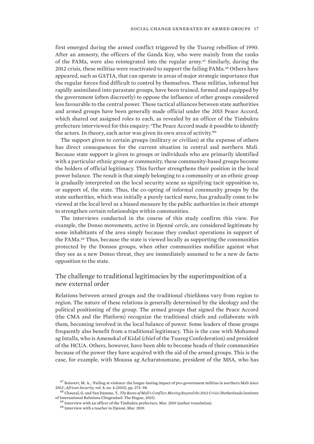<span id="page-24-0"></span>first emerged during the armed conflict triggered by the Tuareg rebellion of 1990. After an amnesty, the officers of the Ganda Koy, who were mainly from the ranks of the FAMa, were also reintegrated into the regular army.47 Similarly, during the 2012 crisis, these militias were reactivated to support the failing FAMa.48 Others have appeared, such as GATIA, that can operate in areas of major strategic importance that the regular forces find difficult to control by themselves. These militias, informal but rapidly assimilated into parastate groups, have been trained, formed and equipped by the government (often discreetly) to oppose the influence of other groups considered less favourable to the central power. These tactical alliances between state authorities and armed groups have been generally made official under the 2015 Peace Accord, which shared out assigned roles to each, as revealed by an officer of the Timbuktu prefecture interviewed for this enquiry: 'The Peace Accord made it possible to identify the actors. In theory, each actor was given its own area of activity.'<sup>49</sup>

The support given to certain groups (military or civilian) at the expense of others has direct consequences for the current situation in central and northern Mali. Because state support is given to groups or individuals who are primarily identified with a particular ethnic group or community, these community-based groups become the holders of official legitimacy. This further strengthens their position in the local power balance. The result is that simply belonging to a community or an ethnic group is gradually interpreted on the local security scene as signifying tacit opposition to, or support of, the state. Thus, the co-opting of informal community groups by the state authorities, which was initially a purely tactical move, has gradually come to be viewed at the local level as a biased measure by the public authorities in their attempt to strengthen certain relationships within communities.

The interviews conducted in the course of this study confirm this view. For example, the Donso movements, active in Djenné *cercle*, are considered legitimate by some inhabitants of the area simply because they conduct operations in support of the FAMa.50 Thus, because the state is viewed locally as supporting the communities protected by the Donsos groups, when other communities mobilize against what they see as a new Donso threat, they are immediately assumed to be a new de facto opposition to the state.

### The challenge to traditional legitimacies by the superimposition of a new external order

Relations between armed groups and the traditional chiefdoms vary from region to region. The nature of these relations is generally determined by the ideology and the political positioning of the group. The armed groups that signed the Peace Accord (the CMA and the Platform) recognize the traditional chiefs and collaborate with them, becoming involved in the local balance of power. Some leaders of these groups frequently also benefit from a traditional legitimacy. This is the case with Mohamed ag Intalla, who is Amenokal of Kidal (chief of the Tuareg Confederation) and president of the HCUA. Others, however, have been able to become heads of their communities because of the power they have acquired with the aid of the armed groups. This is the case, for example, with Moussa ag Acharatoumane, president of the MSA, who has

 $47$  Boisvert, M. A., '[Failing at violence: the longer-lasting impact of pro-government militias in northern Mali since](https://www.tandfonline.com/doi/full/10.1080/19392206.2015.1100505) [2012](https://www.tandfonline.com/doi/full/10.1080/19392206.2015.1100505)', *African Security*, vol. 8, no. 4 (2015), pp. 272–98.

<sup>48</sup> Chauzal, G. and Van Damme, T., *[The Roots of Mali's Conflict: Moving Beyond the 2012 Crisis](https://www.clingendael.org/sites/default/files/pdfs/The_roots_of_Malis_conflict.pdf)* (Netherlands Institute of International Relations Clingendael: The Hague, 2015).

<sup>&</sup>lt;sup>49</sup> Interview with an officer of the Timbuktu prefecture, Mar. 2019 (author translation).

<sup>50</sup> Interview with a teacher in Djenné, Mar. 2019.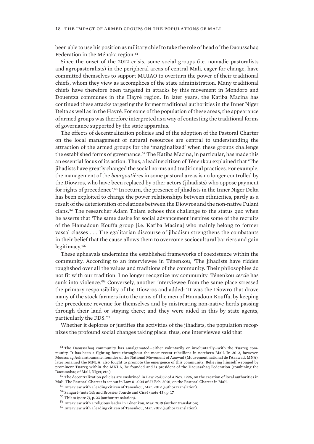been able to use his position as military chief to take the role of head of the Daoussahaq Federation in the Ménaka region.<sup>51</sup>

Since the onset of the 2012 crisis, some social groups (i.e. nomadic pastoralists and agropastoralists) in the peripheral areas of central Mali, eager for change, have committed themselves to support MUJAO to overturn the power of their traditional chiefs, whom they view as accomplices of the state administration. Many traditional chiefs have therefore been targeted in attacks by this movement in Mondoro and Douentza communes in the Hayré region. In later years, the Katiba Macina has continued these attacks targeting the former traditional authorities in the Inner Niger Delta as well as in the Hayré. For some of the population of these areas, the appearance of armed groups was therefore interpreted as a way of contesting the traditional forms of governance supported by the state apparatus.

The effects of decentralization policies and of the adoption of the Pastoral Charter on the local management of natural resources are central to understanding the attraction of the armed groups for the 'marginalized' when these groups challenge the established forms of governance.<sup>52</sup> The Katiba Macina, in particular, has made this an essential focus of its action. Thus, a leading citizen of Ténenkou explained that 'The jihadists have greatly changed the social norms and traditional practices. For example, the management of the *bourgoutières* in some pastoral areas is no longer controlled by the Diowros, who have been replaced by other actors (jihadists) who oppose payment for rights of precedence'.53 In return, the presence of jihadists in the Inner Niger Delta has been exploited to change the power relationships between ethnicities, partly as a result of the deterioration of relations between the Diowros and the non-native Fulani clans.54 The researcher Adam Thiam echoes this challenge to the status quo when he asserts that 'The same desire for social advancement inspires some of the recruits of the Hamadoun Kouffa group [i.e. Katiba Macina] who mainly belong to former vassal classes . . . The egalitarian discourse of jihadism strengthens the combatants in their belief that the cause allows them to overcome sociocultural barriers and gain legitimacy.'<sup>55</sup>

These upheavals undermine the established frameworks of coexistence within the community. According to an interviewee in Ténenkou, 'The jihadists have ridden roughshod over all the values and traditions of the community. Their philosophies do not fit with our tradition. I no longer recognize my community. Ténenkou *cercle* has sunk into violence.'56 Conversely, another interviewee from the same place stressed the primary responsibility of the Diowros and added: 'It was the Diowro that drove many of the stock farmers into the arms of the men of Hamadoun Kouffa, by keeping the precedence revenue for themselves and by mistreating non-native herds passing through their land or staying there; and they were aided in this by state agents, particularly the FDS.'<sup>57</sup>

Whether it deplores or justifies the activities of the jihadists, the population recognizes the profound social changes taking place: thus, one interviewee said that

<sup>51</sup> The Daoussahaq community has amalgamated—either voluntarily or involuntarily—with the Tuareg community. It has been a fighting force throughout the most recent rebellions in northern Mali. In 2012, however, Moussa ag Acharatoumane, founder of the National Movement of Azawad (Mouvement national de l'Azawad, MNA), later renamed the MNLA, also fought to promote the emergence of this community. Believing himself wronged by prominent Tuareg within the MNLA, he founded and is president of the Daoussahaq Federation (combining the Daoussahaq of Mali, Niger, etc.).

<sup>52</sup> The decentralization policies are enshrined in Law 96/059 of 4 Nov. 1996, on the creation of local authorities in Mali. The Pastoral Charter is set out in Law 01-004 of 27 Feb. 2001, on the Pastoral Charter in Mali.

<sup>53</sup> Interview with a leading citizen of Ténenkou, Mar. 2019 (author translation).

<sup>54</sup> Sangaré (note 14); and Brossier Jourde and Cissé (note 43), p. 17.

<sup>55</sup> Thiam (note 7), p. 23 (author translation).

<sup>56</sup> Interview with a religious leader in Ténenkou, Mar. 2019 (author translation).

<sup>57</sup> Interview with a leading citizen of Ténenkou, Mar. 2019 (author translation).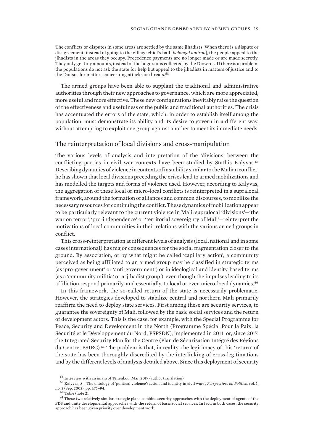<span id="page-26-0"></span>The conflicts or disputes in some areas are settled by the same jihadists. When there is a dispute or disagreement, instead of going to the village chief's hall [*bolongal amirou*], the people appeal to the jihadists in the areas they occupy. Precedence payments are no longer made or are made secretly. They only get tiny amounts, instead of the huge sums collected by the Diowros. If there is a problem, the populations do not ask the state for help but appeal to the jihadists in matters of justice and to the Donsos for matters concerning attacks or threats.  $^{58}$ 

The armed groups have been able to supplant the traditional and administrative authorities through their new approaches to governance, which are more appreciated, more useful and more effective. These new configurations inevitably raise the question of the effectiveness and usefulness of the public and traditional authorities. The crisis has accentuated the errors of the state, which, in order to establish itself among the population, must demonstrate its ability and its desire to govern in a different way, without attempting to exploit one group against another to meet its immediate needs.

#### The reinterpretation of local divisions and cross-manipulation

The various levels of analysis and interpretation of the 'divisions' between the conflicting parties in civil war contexts have been studied by Stathis Kalyvas.<sup>59</sup> Describing dynamics of violence in contexts of instability similar to the Malian conflict, he has shown that local divisions preceding the crises lead to armed mobilizations and has modelled the targets and forms of violence used. However, according to Kalyvas, the aggregation of these local or micro-local conflicts is reinterpreted in a supralocal framework, around the formation of alliances and common discourses, to mobilize the necessary resources for continuing the conflict. These dynamics of mobilization appear to be particularly relevant to the current violence in Mali: supralocal 'divisions'—'the war on terror', 'pro-independence' or 'territorial sovereignty of Mali'—reinterpret the motivations of local communities in their relations with the various armed groups in conflict.

This cross-reinterpretation at different levels of analysis (local, national and in some cases international) has major consequences for the social fragmentation closer to the ground. By association, or by what might be called 'capillary action', a community perceived as being affiliated to an armed group may be classified in strategic terms (as 'pro-government' or 'anti-government') or in ideological and identity-based terms (as a 'community militia' or a 'jihadist group'), even though the impulses leading to its affiliation respond primarily, and essentially, to local or even micro-local dynamics.<sup>60</sup>

In this framework, the so-called return of the state is necessarily problematic. However, the strategies developed to stabilize central and northern Mali primarily reaffirm the need to deploy state services. First among these are security services, to guarantee the sovereignty of Mali, followed by the basic social services and the return of development actors. This is the case, for example, with the Special Programme for Peace, Security and Development in the North (Programme Spécial Pour la Paix, la Sécurité et le Développement du Nord, PSPSDN), implemented in 2011, or, since 2017, the Integrated Security Plan for the Centre (Plan de Sécurisation Intégré des Régions du Centre,  $PSIRC$ ).<sup> $61$ </sup> The problem is that, in reality, the legitimacy of this 'return' of the state has been thoroughly discredited by the interlinking of cross-legitimations and by the different levels of analysis detailed above. Since this deployment of security

<sup>58</sup> Interview with an imam of Ténenkou, Mar. 2019 (author translation).

<sup>59</sup> Kalyvas, S., '[The ontology of 'political violence': action and identity in civil wars'](https://www.jstor.org/stable/3688707?seq=1#page_scan_tab_contents), *Perspectives on Politics*, vol. 1, no. 3 (Sep. 2003), pp. 475–94.

 $60$  Tobie (note 2).

 $^{61}$  These two relatively similar strategic plans combine security approaches with the deployment of agents of the FDS and unite developmental approaches with the return of basic social services. In fact, in both cases, the security approach has been given priority over development work.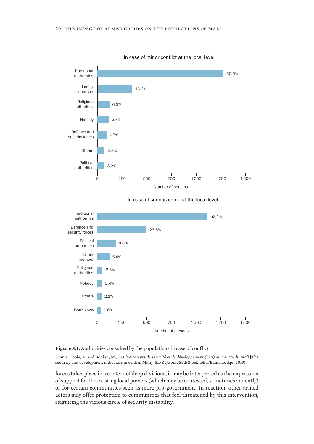<span id="page-27-0"></span>



*Source*: Tobie, A. and Bodian, M., *Les indicateurs de sécurité et de développement (ISD) au Centre du Mali* [The security and development indicators in central Mali] (SIPRI/Point Sud: Stockholm/Bamako, Apr. 2019).

forces takes place in a context of deep divisions, it may be interpreted as the expression of support for the existing local powers (which may be contested, sometimes violently) or for certain communities seen as more pro-government. In reaction, other armed actors may offer protection to communities that feel threatened by this intervention, reigniting the vicious circle of security instability.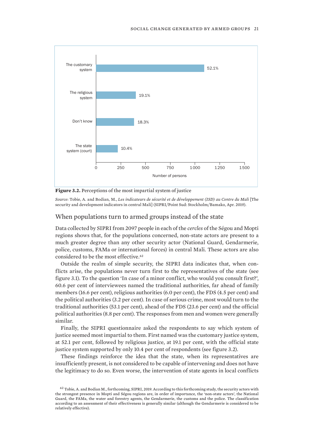<span id="page-28-0"></span>

**Figure 3.2.** Perceptions of the most impartial system of justice

*Source*: Tobie, A. and Bodian, M., *Les indicateurs de sécurité et de développement (ISD) au Centre du Mali* [The security and development indicators in central Mali] (SIPRI/Point Sud: Stockholm/Bamako, Apr. 2019).

## When populations turn to armed groups instead of the state

Data collected by SIPRI from 2097 people in each of the *cercles* of the Ségou and Mopti regions shows that, for the populations concerned, non-state actors are present to a much greater degree than any other security actor (National Guard, Gendarmerie, police, customs, FAMa or international forces) in central Mali. These actors are also considered to be the most effective.<sup>62</sup>

Outside the realm of simple security, the SIPRI data indicates that, when conflicts arise, the populations never turn first to the representatives of the state (see figure 3.1). To the question 'In case of a minor conflict, who would you consult first?', 60.6 per cent of interviewees named the traditional authorities, far ahead of family members (16.6 per cent), religious authorities (6.0 per cent), the FDS (4.5 per cent) and the political authorities (3.2 per cent). In case of serious crime, most would turn to the traditional authorities (53.1 per cent), ahead of the FDS (23.6 per cent) and the official political authorities (8.8 per cent). The responses from men and women were generally similar.

Finally, the SIPRI questionnaire asked the respondents to say which system of justice seemed most impartial to them. First named was the customary justice system, at 52.1 per cent, followed by religious justice, at 19.1 per cent, with the official state justice system supported by only 10.4 per cent of respondents (see figure 3.2).

These findings reinforce the idea that the state, when its representatives are insufficiently present, is not considered to be capable of intervening and does not have the legitimacy to do so. Even worse, the intervention of state agents in local conflicts

 $62$  Tobie, A. and Bodian M., forthcoming, SIPRI, 2019. According to this forthcoming study, the security actors with the strongest presence in Mopti and Ségou regions are, in order of importance, the 'non-state actors', the National Guard, the FAMa, the water and forestry agents, the Gendarmerie, the customs and the police. The classification according to an assessment of their effectiveness is generally similar (although the Gendarmerie is considered to be relatively effective).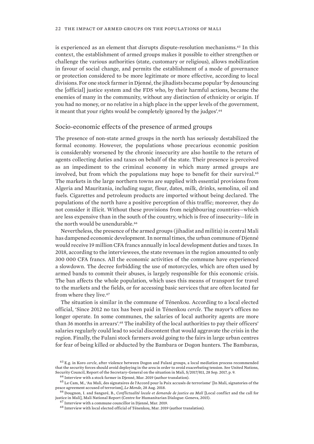<span id="page-29-0"></span>is experienced as an element that disrupts dispute-resolution mechanisms.63 In this context, the establishment of armed groups makes it possible to either strengthen or challenge the various authorities (state, customary or religious), allows mobilization in favour of social change, and permits the establishment of a mode of governance or protection considered to be more legitimate or more effective, according to local divisions. For one stock farmer in Djenné, the jihadists became popular 'by denouncing the [official] justice system and the FDS who, by their harmful actions, became the enemies of many in the community, without any distinction of ethnicity or origin. If you had no money, or no relative in a high place in the upper levels of the government, it meant that your rights would be completely ignored by the judges'.<sup>64</sup>

#### Socio-economic effects of the presence of armed groups

The presence of non-state armed groups in the north has seriously destabilized the formal economy. However, the populations whose precarious economic position is considerably worsened by the chronic insecurity are also hostile to the return of agents collecting duties and taxes on behalf of the state. Their presence is perceived as an impediment to the criminal economy in which many armed groups are involved, but from which the populations may hope to benefit for their survival.<sup>65</sup> The markets in the large northern towns are supplied with essential provisions from Algeria and Mauritania, including sugar, flour, dates, milk, drinks, semolina, oil and fuels. Cigarettes and petroleum products are imported without being declared. The populations of the north have a positive perception of this traffic; moreover, they do not consider it illicit. Without these provisions from neighbouring countries—which are less expensive than in the south of the country, which is free of insecurity—life in the north would be unendurable.<sup>66</sup>

Nevertheless, the presence of the armed groups (jihadist and militia) in central Mali has dampened economic development. In normal times, the urban commune of Djenné would receive 19 million CFA francs annually in local development duties and taxes. In 2018, according to the interviewees, the state revenues in the region amounted to only 300 000 CFA francs. All the economic activities of the commune have experienced a slowdown. The decree forbidding the use of motorcycles, which are often used by armed bands to commit their abuses, is largely responsible for this economic crisis. The ban affects the whole population, which uses this means of transport for travel to the markets and the fields, or for accessing basic services that are often located far from where they live.<sup>67</sup>

The situation is similar in the commune of Ténenkou. According to a local elected official, 'Since 2012 no tax has been paid in Ténenkou *cercle*. The mayor's offices no longer operate. In some communes, the salaries of local authority agents are more than 36 months in arrears'.<sup>68</sup> The inability of the local authorities to pay their officers' salaries regularly could lead to social discontent that would aggravate the crisis in the region. Finally, the Fulani stock farmers avoid going to the fairs in large urban centres for fear of being killed or abducted by the Bambara or Dogon hunters. The Bambaras,

<sup>63</sup> E.g. in Koro *cercle*, after violence between Dogon and Fulani groups, a local mediation process recommended that the security forces should avoid deploying in the area in order to avoid exacerbating tension. See United Nations, Security Council, [Report of the Secretary-General on the situation in Mali](https://undocs.org/S/2017/811), S/2017/811, 28 Sep. 2017, p. 9.

<sup>64</sup> Interview with a stock farmer in Djenné, Mar. 2019 (author translation).

<sup>65</sup> Le Cam, M., ['Au Mali, des signataires de l'Accord pour la Paix accusés de terrorisme](https://www.lemonde.fr/afrique/article/2018/08/28/au-mali-des-signataires-de-l-accord-de-paix-impliques-dans-des-activites-terroristes_5346954_3212.html)' [In Mali, signatories of the peace agreement accused of terrorism], *Le Monde*, 28 Aug. 2018.

<sup>66</sup> Dougnon, I. and Sangaré, B., *[Conflictualité locale et demande de justice au Mali](https://sahelradical.hypotheses.org/local-conflict-and-the-call-for-justice-in-mali#rapportPDF)* [Local conflict and the call for justice in Mali], Mali National Report (Centre for Humanitarian Dialogue: Geneva, 2015).

<sup>67</sup> Interview with a commune councillor in Djenné, Mar. 2019.

<sup>68</sup> Interview with local elected official of Ténenkou, Mar. 2019 (author translation).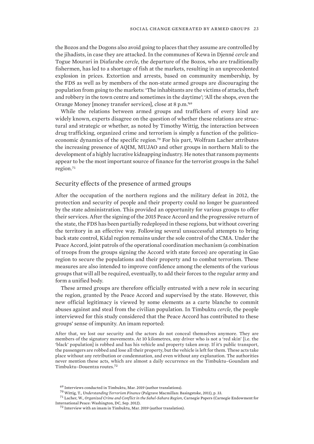<span id="page-30-0"></span>the Bozos and the Dogons also avoid going to places that they assume are controlled by the jihadists, in case they are attacked. In the communes of Kewa in Djenné *cercle* and Togue Mourari in Diafarabe *cercle*, the departure of the Bozos, who are traditionally fishermen, has led to a shortage of fish at the markets, resulting in an unprecedented explosion in prices. Extortion and arrests, based on community membership, by the FDS as well as by members of the non-state armed groups are discouraging the population from going to the markets: 'The inhabitants are the victims of attacks, theft and robbery in the town centre and sometimes in the daytime'; 'All the shops, even the Orange Money [money transfer services], close at 8 p.m.'<sup>69</sup>

While the relations between armed groups and traffickers of every kind are widely known, experts disagree on the question of whether these relations are structural and strategic or whether, as noted by Timothy Wittig, the interaction between drug trafficking, organized crime and terrorism is simply a function of the politicoeconomic dynamics of the specific region.<sup>70</sup> For his part, Wolfram Lacher attributes the increasing presence of AQIM, MUJAO and other groups in northern Mali to the development of a highly lucrative kidnapping industry. He notes that ransom payments appear to be the most important source of finance for the terrorist groups in the Sahel region.<sup>71</sup>

### Security effects of the presence of armed groups

After the occupation of the northern regions and the military defeat in 2012, the protection and security of people and their property could no longer be guaranteed by the state administration. This provided an opportunity for various groups to offer their services. After the signing of the 2015 Peace Accord and the progressive return of the state, the FDS has been partially redeployed in these regions, but without covering the territory in an effective way. Following several unsuccessful attempts to bring back state control, Kidal region remains under the sole control of the CMA. Under the Peace Accord, joint patrols of the operational coordination mechanism (a combination of troops from the groups signing the Accord with state forces) are operating in Gao region to secure the populations and their property and to combat terrorism. These measures are also intended to improve confidence among the elements of the various groups that will all be required, eventually, to add their forces to the regular army and form a unified body.

These armed groups are therefore officially entrusted with a new role in securing the region, granted by the Peace Accord and supervised by the state. However, this new official legitimacy is viewed by some elements as a carte blanche to commit abuses against and steal from the civilian population. In Timbuktu *cercle*, the people interviewed for this study considered that the Peace Accord has contributed to these groups' sense of impunity. An imam reported:

After that, we lost our security and the actors do not conceal themselves anymore. They are members of the signatory movements. At 10 kilometres, any driver who is not a 'red skin' [i.e. the 'black' population] is robbed and has his vehicle and property taken away. If it's public transport, the passengers are robbed and lose all their property, but the vehicle is left for them. These acts take place without any retribution or condemnation, and even without any explanation. The authorities never mention these acts, which are almost a daily occurrence on the Timbuktu–Goundam and Timbuktu–Douentza routes.<sup>72</sup>

<sup>69</sup> Interviews conducted in Timbuktu, Mar. 2019 (author translations).

<sup>70</sup> Wittig, T., *Understanding Terrorism Finance* (Palgrave Macmillan: Basingstoke, 2011), p. 33.

<sup>71</sup> Lacher, W., *[Organized Crime and Conflict in the Sahel-Sahara Region](https://carnegieendowment.org/files/sahel_sahara.pdf)*, Carnegie Papers (Carnegie Endowment for International Peace: Washington, DC, Sep. 2012).

<sup>72</sup> Interview with an imam in Timbuktu, Mar. 2019 (author translation).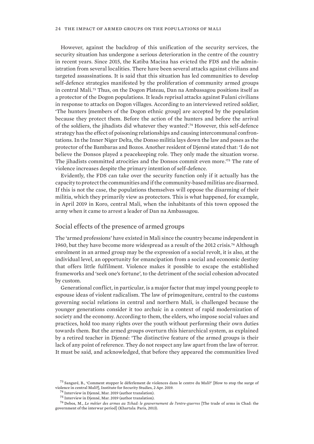#### <span id="page-31-0"></span>24 the impact of armed groups on the populations of mali

However, against the backdrop of this unification of the security services, the security situation has undergone a serious deterioration in the centre of the country in recent years. Since 2015, the Katiba Macina has evicted the FDS and the administration from several localities. There have been several attacks against civilians and targeted assassinations. It is said that this situation has led communities to develop self-defence strategies manifested by the proliferation of community armed groups in central Mali.73 Thus, on the Dogon Plateau, Dan na Ambassagou positions itself as a protector of the Dogon populations. It leads reprisal attacks against Fulani civilians in response to attacks on Dogon villages. According to an interviewed retired soldier, 'The hunters [members of the Dogon ethnic group] are accepted by the population because they protect them. Before the action of the hunters and before the arrival of the soldiers, the jihadists did whatever they wanted'.74 However, this self-defence strategy has the effect of poisoning relationships and causing intercommunal confrontations. In the Inner Niger Delta, the Donso militia lays down the law and poses as the protector of the Bambaras and Bozos. Another resident of Djenné stated that: 'I do not believe the Donsos played a peacekeeping role. They only made the situation worse. The jihadists committed atrocities and the Donsos commit even more.'75 The rate of violence increases despite the primary intention of self-defence.

Evidently, the FDS can take over the security function only if it actually has the capacity to protect the communities and if the community-based militias are disarmed. If this is not the case, the populations themselves will oppose the disarming of their militia, which they primarily view as protectors. This is what happened, for example, in April 2019 in Koro, central Mali, when the inhabitants of this town opposed the army when it came to arrest a leader of Dan na Ambassagou.

#### Social effects of the presence of armed groups

The 'armed professions' have existed in Mali since the country became independent in 1960, but they have become more widespread as a result of the 2012 crisis.76 Although enrolment in an armed group may be the expression of a social revolt, it is also, at the individual level, an opportunity for emancipation from a social and economic destiny that offers little fulfilment. Violence makes it possible to escape the established frameworks and 'seek one's fortune', to the detriment of the social cohesion advocated by custom.

Generational conflict, in particular, is a major factor that may impel young people to espouse ideas of violent radicalism. The law of primogeniture, central to the customs governing social relations in central and northern Mali, is challenged because the younger generations consider it too archaic in a context of rapid modernization of society and the economy. According to them, the elders, who impose social values and practices, hold too many rights over the youth without performing their own duties towards them. But the armed groups overturn this hierarchical system, as explained by a retired teacher in Djenné: 'The distinctive feature of the armed groups is their lack of any point of reference. They do not respect any law apart from the law of terror. It must be said, and acknowledged, that before they appeared the communities lived

<sup>73</sup> Sangaré, B., '[Comment stopper le déferlement de violences dans le centre du Mali?](https://issafrica.org/fr/iss-today/comment-stopper-le-deferlement-de-violences-dans-le-centre-du-mali)' [How to stop the surge of violence in central Mali?], Institute for Security Studies, 2 Apr. 2019.

<sup>74</sup> Interview in Djenné, Mar. 2019 (author translation).

<sup>75</sup> Interview in Djenné, Mar. 2019 (author translation).

<sup>76</sup> Debos, M., *Le métier des armes au Tchad: le gouvernement de l'entre-guerres* [The trade of arms in Chad: the government of the interwar period] (Khartala: Paris, 2013).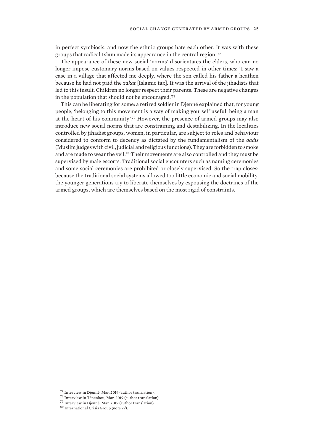in perfect symbiosis, and now the ethnic groups hate each other. It was with these groups that radical Islam made its appearance in the central region.'<sup>77</sup>

The appearance of these new social 'norms' disorientates the elders, who can no longer impose customary norms based on values respected in other times: 'I saw a case in a village that affected me deeply, where the son called his father a heathen because he had not paid the *zakat* [Islamic tax]. It was the arrival of the jihadists that led to this insult. Children no longer respect their parents. These are negative changes in the population that should not be encouraged.'<sup>78</sup>

This can be liberating for some: a retired soldier in Djenné explained that, for young people, 'belonging to this movement is a way of making yourself useful, being a man at the heart of his community'.79 However, the presence of armed groups may also introduce new social norms that are constraining and destabilizing. In the localities controlled by jihadist groups, women, in particular, are subject to roles and behaviour considered to conform to decency as dictated by the fundamentalism of the *qadis* (Muslim judges with civil, judicial and religious functions). They are forbidden to smoke and are made to wear the veil.<sup>80</sup> Their movements are also controlled and they must be supervised by male escorts. Traditional social encounters such as naming ceremonies and some social ceremonies are prohibited or closely supervised. So the trap closes: because the traditional social systems allowed too little economic and social mobility, the younger generations try to liberate themselves by espousing the doctrines of the armed groups, which are themselves based on the most rigid of constraints.

- <sup>78</sup> Interview in Ténenkou, Mar. 2019 (author translation).
- <sup>79</sup> Interview in Djenné, Mar. 2019 (author translation).
- <sup>80</sup> International Crisis Group (note 22).

<sup>77</sup> Interview in Djenné, Mar. 2019 (author translation).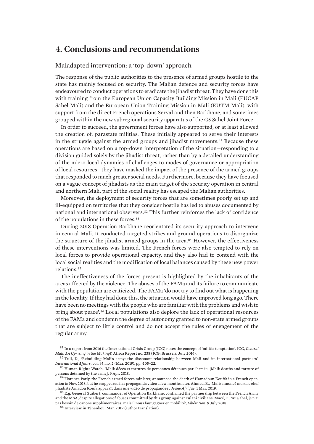## <span id="page-33-0"></span>**4. Conclusions and recommendations**

#### Maladapted intervention: a 'top-down' approach

The response of the public authorities to the presence of armed groups hostile to the state has mainly focused on security. The Malian defence and security forces have endeavoured to conduct operations to eradicate the jihadist threat. They have done this with training from the European Union Capacity Building Mission in Mali (EUCAP Sahel Mali) and the European Union Training Mission in Mali (EUTM Mali), with support from the direct French operations Serval and then Barkhane, and sometimes grouped within the new subregional security apparatus of the G5 Sahel Joint Force.

In order to succeed, the government forces have also supported, or at least allowed the creation of, parastate militias. These initially appeared to serve their interests in the struggle against the armed groups and jihadist movements.<sup>81</sup> Because these operations are based on a top-down interpretation of the situation—responding to a division guided solely by the jihadist threat, rather than by a detailed understanding of the micro-local dynamics of challenges to modes of governance or appropriation of local resources—they have masked the impact of the presence of the armed groups that responded to much greater social needs. Furthermore, because they have focused on a vague concept of jihadists as the main target of the security operation in central and northern Mali, part of the social reality has escaped the Malian authorities.

Moreover, the deployment of security forces that are sometimes poorly set up and ill-equipped on territories that they consider hostile has led to abuses documented by national and international observers.<sup>82</sup> This further reinforces the lack of confidence of the populations in these forces.<sup>83</sup>

During 2018 Operation Barkhane reorientated its security approach to intervene in central Mali. It conducted targeted strikes and ground operations to disorganize the structure of the jihadist armed groups in the area.84 However, the effectiveness of these interventions was limited. The French forces were also tempted to rely on local forces to provide operational capacity, and they also had to contend with the local social realities and the modification of local balances caused by these new power relations.<sup>85</sup>

The ineffectiveness of the forces present is highlighted by the inhabitants of the areas affected by the violence. The abuses of the FAMa and its failure to communicate with the population are criticized. The FAMa 'do not try to find out what is happening in the locality. If they had done this, the situation would have improved long ago. There have been no meetings with the people who are familiar with the problems and wish to bring about peace'.86 Local populations also deplore the lack of operational resources of the FAMa and condemn the degree of autonomy granted to non-state armed groups that are subject to little control and do not accept the rules of engagement of the regular army.

<sup>81</sup> In a report from 2016 the International Crisis Group (ICG) notes the concept of 'militia temptation'. ICG, *[Central](https://d2071andvip0wj.cloudfront.net/central-mali-an-uprising-in-the-making.pdf) [Mali: An Uprising in the Making?](https://d2071andvip0wj.cloudfront.net/central-mali-an-uprising-in-the-making.pdf)*, Africa Report no. 238 (ICG: Brussels, July 2016).

<sup>82</sup> Tull, D., '[Rebuilding Mali's army: the dissonant relationship between Mali and its international partners](https://academic.oup.com/ia/article/95/2/405/5315698)', *International Affairs*, vol. 95, no. 2 (Mar. 2019), pp. 405–22.

<sup>83</sup> Human Rights Watch, '[Mali: décès et tortures de personnes détenues par l'armée'](https://www.hrw.org/fr/news/2018/04/09/mali-deces-et-tortures-de-personnes-detenues-par-larmee) [Mali: deaths and torture of persons detained by the army], 9 Apr. 2018.

<sup>84</sup> Florence Parly, the French armed forces minister, announced the death of Hamadoun Kouffa in a French operation in Nov. 2018, but he reappeared in a propaganda video a few months later. Ahmed, B., ['Mali: annoncé mort, le chef](https://www.jeuneafrique.com/743379/politique/mali-annonce-mort-le-chef-jihadiste-amadou-koufa-apparait-dans-une-video-de-propagande/) [jihadiste Amadou Koufa apparaît dans une vidéo de propagandee](https://www.jeuneafrique.com/743379/politique/mali-annonce-mort-le-chef-jihadiste-amadou-koufa-apparait-dans-une-video-de-propagande/)', *Jeune Afrique*, 1 Mar. 2019.

<sup>&</sup>lt;sup>85</sup> E.g. General Guibert, commander of Operation Barkhane, confirmed the partnership between the French Army and the MSA, despite allegations of abuses committed by this group against Fulani civilians. Macé, C., ['Au Sahel, je n'ai](https://www.liberation.fr/planete/2018/07/09/au-sahel-je-n-ai-pas-besoin-de-canons-supplementaires-mais-il-nous-faut-gagner-en-mobilite_1665186) [pas besoin de canons supplémentaires, mais il nous faut gagner en mobilité'](https://www.liberation.fr/planete/2018/07/09/au-sahel-je-n-ai-pas-besoin-de-canons-supplementaires-mais-il-nous-faut-gagner-en-mobilite_1665186), *Libération*, 9 July 2018.

<sup>86</sup> Interview in Ténenkou, Mar. 2019 (author translation).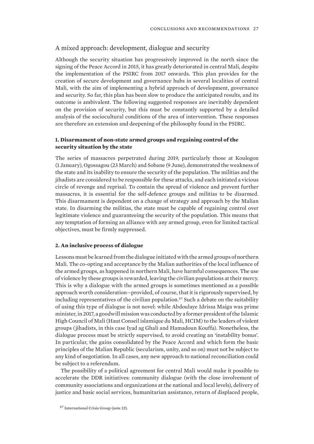#### <span id="page-34-0"></span>A mixed approach: development, dialogue and security

Although the security situation has progressively improved in the north since the signing of the Peace Accord in 2015, it has greatly deteriorated in central Mali, despite the implementation of the PSIRC from 2017 onwards. This plan provides for the creation of secure development and governance hubs in several localities of central Mali, with the aim of implementing a hybrid approach of development, governance and security. So far, this plan has been slow to produce the anticipated results, and its outcome is ambivalent. The following suggested responses are inevitably dependent on the provision of security, but this must be constantly supported by a detailed analysis of the sociocultural conditions of the area of intervention. These responses are therefore an extension and deepening of the philosophy found in the PSIRC.

#### **1. Disarmament of non-state armed groups and regaining control of the security situation by the state**

The series of massacres perpetrated during 2019, particularly those at Koulogon (1 January), Ogossagou (23 March) and Sobane (9 June), demonstrated the weakness of the state and its inability to ensure the security of the population. The militias and the jihadists are considered to be responsible for these attacks, and each initiated a vicious circle of revenge and reprisal. To contain the spread of violence and prevent further massacres, it is essential for the self-defence groups and militias to be disarmed. This disarmament is dependent on a change of strategy and approach by the Malian state. In disarming the militias, the state must be capable of regaining control over legitimate violence and guaranteeing the security of the population. This means that any temptation of forming an alliance with any armed group, even for limited tactical objectives, must be firmly suppressed.

#### **2. An inclusive process of dialogue**

Lessons must be learned from the dialogue initiated with the armed groups of northern Mali. The co-opting and acceptance by the Malian authorities of the local influence of the armed groups, as happened in northern Mali, have harmful consequences. The use of violence by these groups is rewarded, leaving the civilian populations at their mercy. This is why a dialogue with the armed groups is sometimes mentioned as a possible approach worth consideration—provided, of course, that it is rigorously supervised, by including representatives of the civilian population.<sup>87</sup> Such a debate on the suitability of using this type of dialogue is not novel: while Abdoulaye Idrissa Maiga was prime minister, in 2017, a goodwill mission was conducted by a former president of the Islamic High Council of Mali (Haut Conseil islamique du Mali, HCIM) to the leaders of violent groups (jihadists, in this case Iyad ag Ghali and Hamadoun Kouffa). Nonetheless, the dialogue process must be strictly supervised, to avoid creating an 'instability bonus'. In particular, the gains consolidated by the Peace Accord and which form the basic principles of the Malian Republic (secularism, unity, and so on) must not be subject to any kind of negotiation. In all cases, any new approach to national reconciliation could be subject to a referendum.

The possibility of a political agreement for central Mali would make it possible to accelerate the DDR initiatives: community dialogue (with the close involvement of community associations and organizations at the national and local levels), delivery of justice and basic social services, humanitarian assistance, return of displaced people,

<sup>87</sup> International Crisis Group (note 22).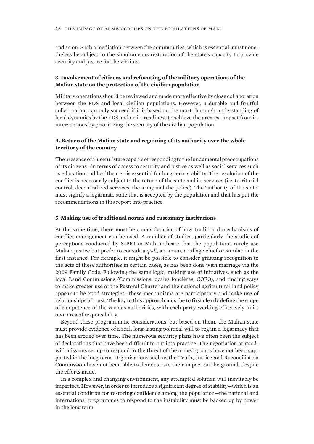and so on. Such a mediation between the communities, which is essential, must nonetheless be subject to the simultaneous restoration of the state's capacity to provide security and justice for the victims.

### **3. Involvement of citizens and refocusing of the military operations of the Malian state on the protection of the civilian population**

Military operations should be reviewed and made more effective by close collaboration between the FDS and local civilian populations. However, a durable and fruitful collaboration can only succeed if it is based on the most thorough understanding of local dynamics by the FDS and on its readiness to achieve the greatest impact from its interventions by prioritizing the security of the civilian population.

#### **4. Return of the Malian state and regaining of its authority over the whole territory of the country**

The presence of a 'useful' state capable of responding to the fundamental preoccupations of its citizens—in terms of access to security and justice as well as social services such as education and healthcare—is essential for long-term stability. The resolution of the conflict is necessarily subject to the return of the state and its services (i.e. territorial control, decentralized services, the army and the police). The 'authority of the state' must signify a legitimate state that is accepted by the population and that has put the recommendations in this report into practice.

#### **5. Making use of traditional norms and customary institutions**

At the same time, there must be a consideration of how traditional mechanisms of conflict management can be used. A number of studies, particularly the studies of perceptions conducted by SIPRI in Mali, indicate that the populations rarely use Malian justice but prefer to consult a *qadi*, an imam, a village chief or similar in the first instance. For example, it might be possible to consider granting recognition to the acts of these authorities in certain cases, as has been done with marriage via the 2009 Family Code. Following the same logic, making use of initiatives, such as the local Land Commissions (Commissions locales foncières, COFO), and finding ways to make greater use of the Pastoral Charter and the national agricultural land policy appear to be good strategies—these mechanisms are participatory and make use of relationships of trust. The key to this approach must be to first clearly define the scope of competence of the various authorities, with each party working effectively in its own area of responsibility.

Beyond these programmatic considerations, but based on them, the Malian state must provide evidence of a real, long-lasting political will to regain a legitimacy that has been eroded over time. The numerous security plans have often been the subject of declarations that have been difficult to put into practice. The negotiation or goodwill missions set up to respond to the threat of the armed groups have not been supported in the long term. Organizations such as the Truth, Justice and Reconciliation Commission have not been able to demonstrate their impact on the ground, despite the efforts made.

In a complex and changing environment, any attempted solution will inevitably be imperfect. However, in order to introduce a significant degree of stability—which is an essential condition for restoring confidence among the population—the national and international programmes to respond to the instability must be backed up by power in the long term.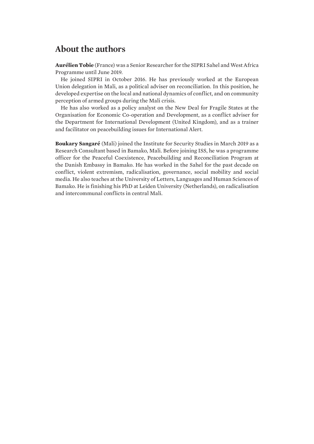# <span id="page-36-0"></span>**About the authors**

**Aurélien Tobie** (France) was a Senior Researcher for the SIPRI Sahel and West Africa Programme until June 2019.

He joined SIPRI in October 2016. He has previously worked at the European Union delegation in Mali, as a political adviser on reconciliation. In this position, he developed expertise on the local and national dynamics of conflict, and on community perception of armed groups during the Mali crisis.

He has also worked as a policy analyst on the New Deal for Fragile States at the Organisation for Economic Co-operation and Development, as a conflict adviser for the Department for International Development (United Kingdom), and as a trainer and facilitator on peacebuilding issues for International Alert.

**Boukary Sangaré** (Mali) joined the Institute for Security Studies in March 2019 as a Research Consultant based in Bamako, Mali. Before joining ISS, he was a programme officer for the Peaceful Coexistence, Peacebuilding and Reconciliation Program at the Danish Embassy in Bamako. He has worked in the Sahel for the past decade on conflict, violent extremism, radicalisation, governance, social mobility and social media. He also teaches at the University of Letters, Languages and Human Sciences of Bamako. He is finishing his PhD at Leiden University (Netherlands), on radicalisation and intercommunal conflicts in central Mali.